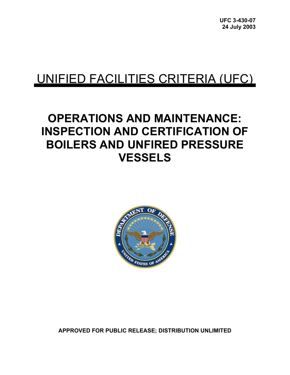# UNIFIED FACILITIES CRITERIA (UFC)

# **OPERATIONS AND MAINTENANCE: INSPECTION AND CERTIFICATION OF BOILERS AND UNFIRED PRESSURE VESSELS**



**APPROVED FOR PUBLIC RELEASE; DISTRIBUTION UNLIMITED**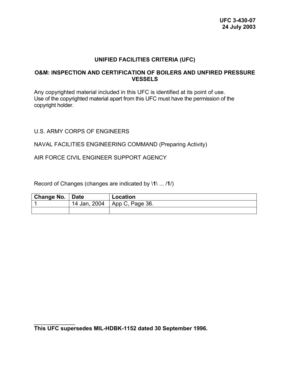#### **UNIFIED FACILITIES CRITERIA (UFC)**

#### **O&M: INSPECTION AND CERTIFICATION OF BOILERS AND UNFIRED PRESSURE VESSELS**

Any copyrighted material included in this UFC is identified at its point of use. Use of the copyrighted material apart from this UFC must have the permission of the copyright holder.

#### U.S. ARMY CORPS OF ENGINEERS

#### NAVAL FACILITIES ENGINEERING COMMAND (Preparing Activity)

AIR FORCE CIVIL ENGINEER SUPPORT AGENCY

Record of Changes (changes are indicated by \**1**\ ... /**1**/)

| Change No.   Date |              | Location                |
|-------------------|--------------|-------------------------|
|                   | 14 Jan, 2004 | $\vert$ App C, Page 36. |
|                   |              |                         |

 $\frac{1}{2}$ **This UFC supersedes MIL-HDBK-1152 dated 30 September 1996.**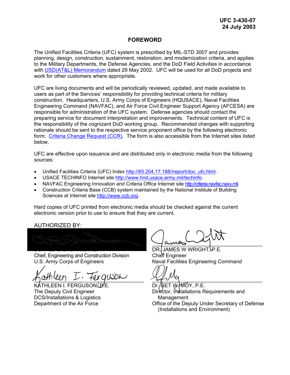#### **FOREWORD**

The Unified Facilities Criteria (UFC) system is prescribed by MIL-STD 3007 and provides planning, design, construction, sustainment, restoration, and modernization criteria, and applies to the Military Departments, the Defense Agencies, and the DoD Field Activities in accordance with **USD(AT&L) Memorandum** dated 29 May 2002. UFC will be used for all DoD projects and work for other customers where appropriate.

UFC are living documents and will be periodically reviewed, updated, and made available to users as part of the Services' responsibility for providing technical criteria for military construction. Headquarters, U.S. Army Corps of Engineers (HQUSACE), Naval Facilities Engineering Command (NAVFAC), and Air Force Civil Engineer Support Agency (AFCESA) are responsible for administration of the UFC system. Defense agencies should contact the preparing service for document interpretation and improvements. Technical content of UFC is the responsibility of the cognizant DoD working group. Recommended changes with supporting rationale should be sent to the respective service proponent office by the following electronic form: [Criteria Change Request \(CCR\)](https://65.204.17.188/projnet/cms/version2/index.cfm?WORKFLOW=CMS_CCRQAdd&Action=IDFORM&SecureTry=1). The form is also accessible from the Internet sites listed below.

UFC are effective upon issuance and are distributed only in electronic media from the following sources:

- Unified Facilities Criteria (UFC) Index [http://65.204.17.188//report/doc\\_ufc.html](http://65.204.17.188//report/doc_ufc.html).
- USACE TECHINFO Internet site <http://www.hnd.usace.army.mil/techinfo>.
- NAVFAC Engineering Innovation and Criteria Office Internet site [http://criteria.navfac.navy.mil](http://criteria.navfac.navy.mil/).
- Construction Criteria Base (CCB) system maintained by the National Institute of Building Sciences at Internet site [http://www.ccb.org](http://www.ccb.org/). •

Hard copies of UFC printed from electronic media should be checked against the current electronic version prior to use to ensure that they are current.

AUTHORIZED BY:

 $\mathcal{L} \rightarrow \mathcal{L}$  , and an approximation of the set of the set of the set of the set of the set of the set of the set of the set of the set of the set of the set of the set of the set of the set of the set of the set of th DONALD L. BASHAM, P.E.

Chief, Engineering and Construction Division U.S. Army Corps of Engineers

 $\eta$ urineer)  $L'$  fergusia

KATHLEEN I. FERGUSON. P.E. The Deputy Civil Engineer DCS/Installations & Logistics Department of the Air Force

\_\_\_\_\_\_\_\_\_\_\_\_\_\_\_\_\_\_\_\_\_\_\_\_\_\_\_\_\_\_\_\_\_\_\_\_\_\_

DR. JAMES W WRIGHT, YP.E. Chief Engineer Naval Facilities Engineering Command

 $=$ 

Dr. **GET W. MOY, P.E.** Director, Installations Requirements and Management Office of the Deputy Under Secretary of Defense (Installations and Environment)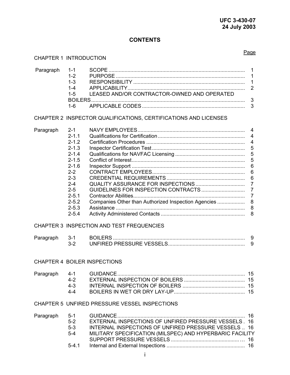### **CONTENTS**

#### CHAPTER 1 INTRODUCTION

| Paragraph | $1 - 1$<br>$1 - 2$<br>$1 - 3$<br>$1 - 4$<br>$1 - 5$<br>$1 - 6$                                                                                                                        | LEASED AND/OR CONTRACTOR-OWNED AND OPERATED                                                                                                                              | $\mathbf 1$<br>1<br>$\mathbf 1$<br>$\overline{2}$<br>3<br>3                                                                                                                                     |
|-----------|---------------------------------------------------------------------------------------------------------------------------------------------------------------------------------------|--------------------------------------------------------------------------------------------------------------------------------------------------------------------------|-------------------------------------------------------------------------------------------------------------------------------------------------------------------------------------------------|
|           |                                                                                                                                                                                       | CHAPTER 2 INSPECTOR QUALIFICATIONS, CERTIFICATIONS AND LICENSES                                                                                                          |                                                                                                                                                                                                 |
| Paragraph | $2 - 1$<br>$2 - 1.1$<br>$2 - 1.2$<br>$2 - 1.3$<br>$2 - 1.4$<br>$2 - 1.5$<br>$2 - 1.6$<br>$2 - 2$<br>$2 - 3$<br>$2 - 4$<br>$2 - 5$<br>$2 - 5.1$<br>$2 - 5.2$<br>$2 - 5.3$<br>$2 - 5.4$ | Companies Other than Authorized Inspection Agencies                                                                                                                      | $\overline{4}$<br>$\overline{4}$<br>$\overline{4}$<br>5<br>5<br>5<br>$6\phantom{a}$<br>$\boldsymbol{6}$<br>$6\phantom{1}6$<br>$\overline{7}$<br>$\overline{7}$<br>$\overline{7}$<br>8<br>8<br>8 |
|           |                                                                                                                                                                                       | CHAPTER 3 INSPECTION AND TEST FREQUENCIES                                                                                                                                |                                                                                                                                                                                                 |
| Paragraph | $3 - 1$<br>$3 - 2$                                                                                                                                                                    |                                                                                                                                                                          | 9<br>9                                                                                                                                                                                          |
|           |                                                                                                                                                                                       | CHAPTER 4 BOILER INSPECTIONS                                                                                                                                             |                                                                                                                                                                                                 |
|           | $4 - 2$<br>$4 - 3$<br>$4 - 4$                                                                                                                                                         |                                                                                                                                                                          | 15                                                                                                                                                                                              |
|           |                                                                                                                                                                                       | CHAPTER 5 UNFIRED PRESSURE VESSEL INSPECTIONS                                                                                                                            |                                                                                                                                                                                                 |
| Paragraph | $5 - 1$<br>$5-2$<br>$5-3$<br>$5-4$<br>$5 - 4.1$                                                                                                                                       | EXTERNAL INSPECTIONS OF UNFIRED PRESSURE VESSELS. 16<br>INTERNAL INSPECTIONS OF UNFIRED PRESSURE VESSELS  16<br>MILITARY SPECIFICATION (MILSPEC) AND HYPERBARIC FACILITY | 16                                                                                                                                                                                              |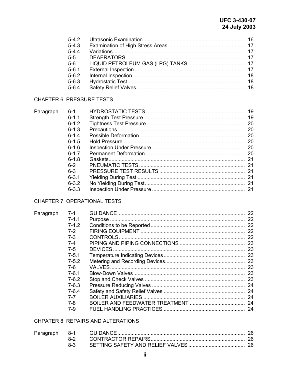| $5-4.3$   |  |
|-----------|--|
| $5 - 4.4$ |  |
| $5 - 5$   |  |
| $5-6$     |  |
| $5 - 6.1$ |  |
| $5 - 6.2$ |  |
| $5 - 6.3$ |  |
| $5 - 6.4$ |  |

### **CHAPTER 6 PRESSURE TESTS**

| Paragraph | $6-1$     |  |
|-----------|-----------|--|
|           | $6 - 11$  |  |
|           | $6 - 1.2$ |  |
|           | $6 - 1.3$ |  |
|           | $6 - 14$  |  |
|           | $6 - 1.5$ |  |
|           | $6 - 1.6$ |  |
|           | $6 - 17$  |  |
|           | $6-1.8$   |  |
|           | $6-2$     |  |
|           | $6-3$     |  |
|           | $6 - 3.1$ |  |
|           | $6 - 3.2$ |  |
|           | $6 - 3.3$ |  |

### CHAPTER 7 OPERATIONAL TESTS

| Paragraph | $7-1$     |  |
|-----------|-----------|--|
|           | $7 - 1.1$ |  |
|           | $7 - 1.2$ |  |
|           | $7-2$     |  |
|           | $7 - 3$   |  |
|           | $7 - 4$   |  |
|           | $7 - 5$   |  |
|           | $7 - 5.1$ |  |
|           | $7 - 5.2$ |  |
|           | 7-6.      |  |
|           | $7 - 6.1$ |  |
|           | $7-6.2$   |  |
|           | 7-6.3     |  |
|           | $7 - 6.4$ |  |
|           | $7 - 7$   |  |
|           | 7-8       |  |
|           | 7-9       |  |

#### CHPATER 8 REPAIRS AND ALTERATIONS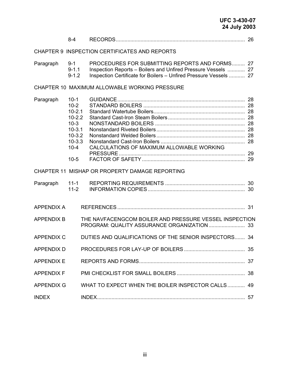|                                                | $8 - 4$                                                                                                            |                                                                                                                                                                                      |  |
|------------------------------------------------|--------------------------------------------------------------------------------------------------------------------|--------------------------------------------------------------------------------------------------------------------------------------------------------------------------------------|--|
|                                                |                                                                                                                    | CHAPTER 9 INSPECTION CERTIFICATES AND REPORTS                                                                                                                                        |  |
| $9 - 1$<br>Paragraph<br>$9 - 1.1$<br>$9 - 1.2$ |                                                                                                                    | PROCEDURES FOR SUBMITTING REPORTS AND FORMS 27<br>Inspection Reports - Boilers and Unfired Pressure Vessels  27<br>Inspection Certificate for Boilers - Unfired Pressure Vessels  27 |  |
|                                                |                                                                                                                    | CHAPTER 10 MAXIMUM ALLOWABLE WORKING PRESSURE                                                                                                                                        |  |
| Paragraph                                      | $10-1$<br>$10-2$<br>$10 - 2.1$<br>$10 - 2.2$<br>$10-3$<br>$10-3.1$<br>$10-3.2$<br>$10 - 3.3$<br>$10 - 4$<br>$10-5$ | CALCULATIONS OF MAXIMUM ALLOWABLE WORKING                                                                                                                                            |  |
|                                                |                                                                                                                    | CHAPTER 11 MISHAP OR PROPERTY DAMAGE REPORTING                                                                                                                                       |  |
| Paragraph                                      | $11-1$<br>$11 - 2$                                                                                                 |                                                                                                                                                                                      |  |
| <b>APPENDIX A</b>                              |                                                                                                                    |                                                                                                                                                                                      |  |
| <b>APPENDIX B</b>                              |                                                                                                                    | THE NAVFACENGCOM BOILER AND PRESSURE VESSEL INSPECTION                                                                                                                               |  |
| <b>APPENDIX C</b>                              |                                                                                                                    | DUTIES AND QUALIFICATIONS OF THE SENIOR INSPECTORS 34                                                                                                                                |  |
| APPENDIX D                                     |                                                                                                                    |                                                                                                                                                                                      |  |
| <b>APPENDIX E</b>                              |                                                                                                                    |                                                                                                                                                                                      |  |
| <b>APPENDIX F</b>                              |                                                                                                                    |                                                                                                                                                                                      |  |
| <b>APPENDIX G</b>                              |                                                                                                                    | WHAT TO EXPECT WHEN THE BOILER INSPECTOR CALLS 49                                                                                                                                    |  |
| <b>INDEX</b>                                   |                                                                                                                    |                                                                                                                                                                                      |  |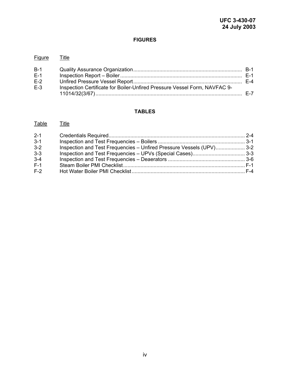#### **FIGURES**

| <b>Figure</b> | Title                                                                     |  |
|---------------|---------------------------------------------------------------------------|--|
| $B-1$         |                                                                           |  |
| $E-1$         |                                                                           |  |
| $E-2$         |                                                                           |  |
| $F-3$         | Inspection Certificate for Boiler-Unfired Pressure Vessel Form, NAVFAC 9- |  |
|               |                                                                           |  |

# **TABLES**

### Table Title

| $2 - 1$ |                                                                      |  |
|---------|----------------------------------------------------------------------|--|
| $3 - 1$ |                                                                      |  |
| $3 - 2$ | Inspection and Test Frequencies - Unfired Pressure Vessels (UPV) 3-2 |  |
| $3 - 3$ |                                                                      |  |
| $3 - 4$ |                                                                      |  |
| $F-1$   |                                                                      |  |
| $F-2$   |                                                                      |  |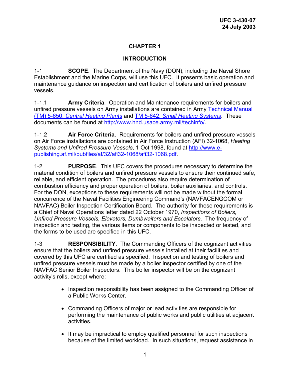### **INTRODUCTION**

1-1 **SCOPE**. The Department of the Navy (DON), including the Naval Shore Establishment and the Marine Corps, will use this UFC. It presents basic operation and maintenance guidance on inspection and certification of boilers and unfired pressure vessels.

1-1.1 **Army Criteria**. Operation and Maintenance requirements for boilers and unfired pressure vessels on Army installations are contained in Army Technical Manual (TM) 5-650, *[Central Heating Plants](http://www.usace.army.mil/inet/usace-docs/armytm/tm5-650/toc.htm)* and TM 5-642, *[Small Heating Systems](http://www.usace.army.mil/inet/usace-docs/armytm/tm5-642/)*. These documents can be found at<http://www.hnd.usace.army.mil/techinfo/>.

1-1.2 **Air Force Criteria**. Requirements for boilers and unfired pressure vessels on Air Force installations are contained in Air Force Instruction (AFI) 32-1068, *Heating Systems and Unfired Pressure Vessels*, 1 Oct 1998, found at [http://www.e](http://www.e-publishing.af.mil/pubfiles/af/32/afi32-1068/afi32-1068.pdf)[publishing.af.mil/pubfiles/af/32/afi32-1068/afi32-1068.pdf.](http://www.e-publishing.af.mil/pubfiles/af/32/afi32-1068/afi32-1068.pdf)

1-2 **PURPOSE**.This UFC covers the procedures necessary to determine the material condition of boilers and unfired pressure vessels to ensure their continued safe, reliable, and efficient operation. The procedures also require determination of combustion efficiency and proper operation of boilers, boiler auxiliaries, and controls. For the DON, exceptions to these requirements will not be made without the formal concurrence of the Naval Facilities Engineering Command's (NAVFACENGCOM or NAVFAC) Boiler Inspection Certification Board. The authority for these requirements is a Chief of Naval Operations letter dated 22 October 1970, *Inspections of Boilers, Unfired Pressure Vessels, Elevators, Dumbwaiters and Escalators*. The frequency of inspection and testing, the various items or components to be inspected or tested, and the forms to be used are specified in this UFC.

1-3 **RESPONSIBILITY**.The Commanding Officers of the cognizant activities ensure that the boilers and unfired pressure vessels installed at their facilities and covered by this UFC are certified as specified. Inspection and testing of boilers and unfired pressure vessels must be made by a boiler inspector certified by one of the NAVFAC Senior Boiler Inspectors. This boiler inspector will be on the cognizant activity's rolls, except where:

- Inspection responsibility has been assigned to the Commanding Officer of a Public Works Center.
- Commanding Officers of major or lead activities are responsible for performing the maintenance of public works and public utilities at adjacent activities.
- It may be impractical to employ qualified personnel for such inspections because of the limited workload. In such situations, request assistance in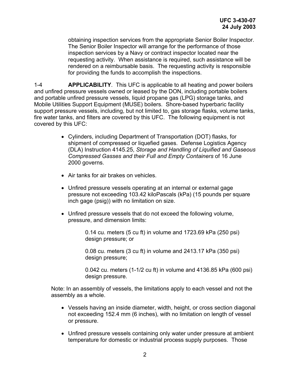obtaining inspection services from the appropriate Senior Boiler Inspector. The Senior Boiler Inspector will arrange for the performance of those inspection services by a Navy or contract inspector located near the requesting activity. When assistance is required, such assistance will be rendered on a reimbursable basis. The requesting activity is responsible for providing the funds to accomplish the inspections.

1-4 **APPLICABILITY**.This UFC is applicable to all heating and power boilers and unfired pressure vessels owned or leased by the DON, including portable boilers and portable unfired pressure vessels, liquid propane gas (LPG) storage tanks, and Mobile Utilities Support Equipment (MUSE) boilers. Shore-based hyperbaric facility support pressure vessels, including, but not limited to, gas storage flasks, volume tanks, fire water tanks, and filters are covered by this UFC. The following equipment is not covered by this UFC:

- Cylinders, including Department of Transportation (DOT) flasks, for shipment of compressed or liquefied gases. Defense Logistics Agency (DLA) Instruction 4145.25, *Storage and Handling of Liquified and Gaseous Compressed Gasses and their Full and Empty Containers* of 16 June 2000 governs.
- Air tanks for air brakes on vehicles.
- Unfired pressure vessels operating at an internal or external gage pressure not exceeding 103.42 kiloPascals (kPa) (15 pounds per square inch gage (psig)) with no limitation on size.
- Unfired pressure vessels that do not exceed the following volume, pressure, and dimension limits:

0.14 cu. meters (5 cu ft) in volume and 1723.69 kPa (250 psi) design pressure; or

0.08 cu. meters (3 cu ft) in volume and 2413.17 kPa (350 psi) design pressure;

0.042 cu. meters (1-1/2 cu ft) in volume and 4136.85 kPa (600 psi) design pressure.

Note: In an assembly of vessels, the limitations apply to each vessel and not the assembly as a whole.

- Vessels having an inside diameter, width, height, or cross section diagonal not exceeding 152.4 mm (6 inches), with no limitation on length of vessel or pressure.
- Unfired pressure vessels containing only water under pressure at ambient temperature for domestic or industrial process supply purposes. Those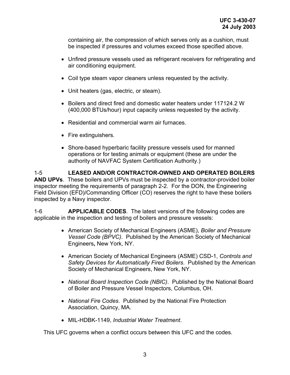containing air, the compression of which serves only as a cushion, must be inspected if pressures and volumes exceed those specified above.

- Unfired pressure vessels used as refrigerant receivers for refrigerating and air conditioning equipment.
- Coil type steam vapor cleaners unless requested by the activity.
- Unit heaters (gas, electric, or steam).
- Boilers and direct fired and domestic water heaters under 117124.2 W (400,000 BTUs/hour) input capacity unless requested by the activity.
- Residential and commercial warm air furnaces.
- Fire extinguishers.
- Shore-based hyperbaric facility pressure vessels used for manned operations or for testing animals or equipment (these are under the authority of NAVFAC System Certification Authority.)

1-5 **LEASED AND/OR CONTRACTOR-OWNED AND OPERATED BOILERS AND UPVs**.These boilers and UPVs must be inspected by a contractor-provided boiler inspector meeting the requirements of paragraph 2-2. For the DON, the Engineering Field Division (EFD)/Commanding Officer (CO) reserves the right to have these boilers inspected by a Navy inspector.

1-6 **APPLICABLE CODES**. The latest versions of the following codes are applicable in the inspection and testing of boilers and pressure vessels:

- American Society of Mechanical Engineers (ASME), *Boiler and Pressure Vessel Code (BPVC)*. Published by the American Society of Mechanical Engineers**,** New York, NY.
- American Society of Mechanical Engineers (ASME) CSD-1, *Controls and Safety Devices for Automatically Fired Boilers*. Published by the American Society of Mechanical Engineers, New York, NY.
- *National Board Inspection Code (NBIC)*. Published by the National Board of Boiler and Pressure Vessel Inspectors, Columbus, OH.
- *National Fire Codes*. Published by the National Fire Protection Association, Quincy, MA.
- MIL-HDBK-1149, *Industrial Water Treatment*.

This UFC governs when a conflict occurs between this UFC and the codes.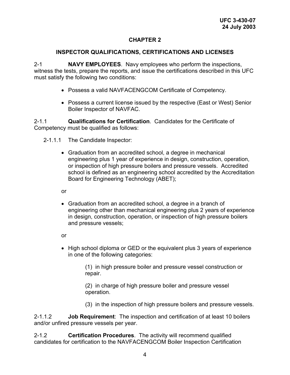#### **INSPECTOR QUALIFICATIONS, CERTIFICATIONS AND LICENSES**

2-1 **NAVY EMPLOYEES**.Navy employees who perform the inspections, witness the tests, prepare the reports, and issue the certifications described in this UFC must satisfy the following two conditions:

- Possess a valid NAVFACENGCOM Certificate of Competency.
- Possess a current license issued by the respective (East or West) Senior Boiler Inspector of NAVFAC.

2-1.1 **Qualifications for Certification**. Candidates for the Certificate of Competency must be qualified as follows:

2-1.1.1 The Candidate Inspector:

• Graduation from an accredited school, a degree in mechanical engineering plus 1 year of experience in design, construction, operation, or inspection of high pressure boilers and pressure vessels. Accredited school is defined as an engineering school accredited by the Accreditation Board for Engineering Technology (ABET);

or

• Graduation from an accredited school, a degree in a branch of engineering other than mechanical engineering plus 2 years of experience in design, construction, operation, or inspection of high pressure boilers and pressure vessels;

or

• High school diploma or GED or the equivalent plus 3 years of experience in one of the following categories:

> (1) in high pressure boiler and pressure vessel construction or repair.

(2) in charge of high pressure boiler and pressure vessel operation.

(3) in the inspection of high pressure boilers and pressure vessels.

2-1.1.2 **Job Requirement**: The inspection and certification of at least 10 boilers and/or unfired pressure vessels per year.

2-1.2 **Certification Procedures**. The activity will recommend qualified candidates for certification to the NAVFACENGCOM Boiler Inspection Certification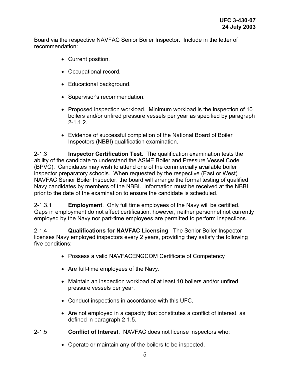Board via the respective NAVFAC Senior Boiler Inspector. Include in the letter of recommendation:

- Current position.
- Occupational record.
- Educational background.
- Supervisor's recommendation.
- Proposed inspection workload. Minimum workload is the inspection of 10 boilers and/or unfired pressure vessels per year as specified by paragraph 2-1.1.2.
- Evidence of successful completion of the National Board of Boiler Inspectors (NBBI) qualification examination.

2-1.3 **Inspector Certification Test**. The qualification examination tests the ability of the candidate to understand the ASME Boiler and Pressure Vessel Code (BPVC). Candidates may wish to attend one of the commercially available boiler inspector preparatory schools. When requested by the respective (East or West) NAVFAC Senior Boiler Inspector, the board will arrange the formal testing of qualified Navy candidates by members of the NBBI. Information must be received at the NBBI prior to the date of the examination to ensure the candidate is scheduled.

2-1.3.1 **Employment**. Only full time employees of the Navy will be certified. Gaps in employment do not affect certification, however, neither personnel not currently employed by the Navy nor part-time employees are permitted to perform inspections.

2-1.4 **Qualifications for NAVFAC Licensing**. The Senior Boiler Inspector licenses Navy employed inspectors every 2 years, providing they satisfy the following five conditions:

- Possess a valid NAVFACENGCOM Certificate of Competency
- Are full-time employees of the Navy.
- Maintain an inspection workload of at least 10 boilers and/or unfired pressure vessels per year.
- Conduct inspections in accordance with this UFC.
- Are not employed in a capacity that constitutes a conflict of interest, as defined in paragraph 2-1.5.
- 2-1.5 **Conflict of Interest**. NAVFAC does not license inspectors who:
	- Operate or maintain any of the boilers to be inspected.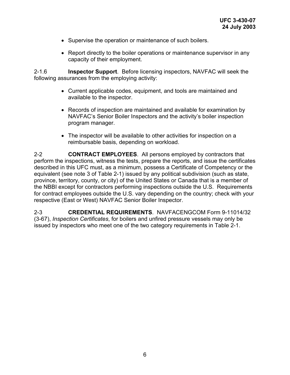- Supervise the operation or maintenance of such boilers.
- Report directly to the boiler operations or maintenance supervisor in any capacity of their employment.

2-1.6 **Inspector Support**. Before licensing inspectors, NAVFAC will seek the following assurances from the employing activity:

- Current applicable codes, equipment, and tools are maintained and available to the inspector.
- Records of inspection are maintained and available for examination by NAVFAC's Senior Boiler Inspectors and the activity's boiler inspection program manager.
- The inspector will be available to other activities for inspection on a reimbursable basis, depending on workload.

2-2 **CONTRACT EMPLOYEES**. All persons employed by contractors that perform the inspections, witness the tests, prepare the reports, and issue the certificates described in this UFC must, as a minimum, possess a Certificate of Competency or the equivalent (see note 3 of Table 2-1) issued by any political subdivision (such as state, province, territory, county, or city) of the United States or Canada that is a member of the NBBI except for contractors performing inspections outside the U.S. Requirements for contract employees outside the U.S. vary depending on the country; check with your respective (East or West) NAVFAC Senior Boiler Inspector.

2-3 **CREDENTIAL REQUIREMENTS**. NAVFACENGCOM Form 9-11014/32 (3-67), *Inspection Certificates*, for boilers and unfired pressure vessels may only be issued by inspectors who meet one of the two category requirements in Table 2-1.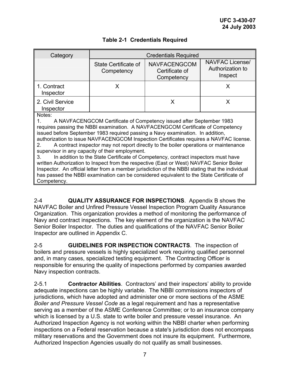| Category                                                                                                                                                                                                                                                                                                                                                                                                                                                                                                                                                                                                                                                                                                                                                                                                                                                                                                      |                                    | <b>Credentials Required</b>                         |                                                       |  |
|---------------------------------------------------------------------------------------------------------------------------------------------------------------------------------------------------------------------------------------------------------------------------------------------------------------------------------------------------------------------------------------------------------------------------------------------------------------------------------------------------------------------------------------------------------------------------------------------------------------------------------------------------------------------------------------------------------------------------------------------------------------------------------------------------------------------------------------------------------------------------------------------------------------|------------------------------------|-----------------------------------------------------|-------------------------------------------------------|--|
|                                                                                                                                                                                                                                                                                                                                                                                                                                                                                                                                                                                                                                                                                                                                                                                                                                                                                                               | State Certificate of<br>Competency | <b>NAVFACENGCOM</b><br>Certificate of<br>Competency | <b>NAVFAC License/</b><br>Authorization to<br>Inspect |  |
| 1. Contract<br>Inspector                                                                                                                                                                                                                                                                                                                                                                                                                                                                                                                                                                                                                                                                                                                                                                                                                                                                                      | X                                  |                                                     | X                                                     |  |
| 2. Civil Service<br>Inspector                                                                                                                                                                                                                                                                                                                                                                                                                                                                                                                                                                                                                                                                                                                                                                                                                                                                                 |                                    | X                                                   | X                                                     |  |
| Notes:<br>A NAVFACENGCOM Certificate of Competency issued after September 1983<br>1.<br>requires passing the NBBI examination. A NAVFACENGCOM Certificate of Competency<br>issued before September 1983 required passing a Navy examination. In addition,<br>authorization to issue NAVFACENGCOM Inspection Certificates requires a NAVFAC license.<br>A contract inspector may not report directly to the boiler operations or maintenance<br>$2 -$<br>supervisor in any capacity of their employment.<br>In addition to the State Certificate of Competency, contract inspectors must have<br>3.<br>written Authorization to Inspect from the respective (East or West) NAVFAC Senior Boiler<br>Inspector. An official letter from a member jurisdiction of the NBBI stating that the individual<br>has passed the NBBI examination can be considered equivalent to the State Certificate of<br>Competency. |                                    |                                                     |                                                       |  |

# **Table 2-1 Credentials Required**

2-4 **QUALITY ASSURANCE FOR INSPECTIONS**. Appendix B shows the NAVFAC Boiler and Unfired Pressure Vessel Inspection Program Quality Assurance Organization. This organization provides a method of monitoring the performance of Navy and contract inspections. The key element of the organization is the NAVFAC Senior Boiler Inspector. The duties and qualifications of the NAVFAC Senior Boiler Inspector are outlined in Appendix C.

2-5 **GUIDELINES FOR INSPECTION CONTRACTS**. The inspection of boilers and pressure vessels is highly specialized work requiring qualified personnel and, in many cases, specialized testing equipment. The Contracting Officer is responsible for ensuring the quality of inspections performed by companies awarded Navy inspection contracts.

2-5.1 **Contractor Abilities**. Contractors' and their inspectors' ability to provide adequate inspections can be highly variable. The NBBI commissions inspectors of jurisdictions, which have adopted and administer one or more sections of the ASME *Boiler and Pressure Vessel Code* as a legal requirement and has a representative serving as a member of the ASME Conference Committee; or to an insurance company which is licensed by a U.S. state to write boiler and pressure vessel insurance. An Authorized Inspection Agency is not working within the NBBI charter when performing inspections on a Federal reservation because a state's jurisdiction does not encompass military reservations and the Government does not insure its equipment. Furthermore, Authorized Inspection Agencies usually do not qualify as small businesses.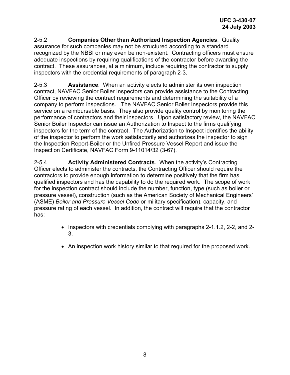2-5.2 **Companies Other than Authorized Inspection Agencies**. Quality assurance for such companies may not be structured according to a standard recognized by the NBBI or may even be non-existent. Contracting officers must ensure adequate inspections by requiring qualifications of the contractor before awarding the contract. These assurances, at a minimum, include requiring the contractor to supply inspectors with the credential requirements of paragraph 2-3.

2-5.3 **Assistance**. When an activity elects to administer its own inspection contract, NAVFAC Senior Boiler Inspectors can provide assistance to the Contracting Officer by reviewing the contract requirements and determining the suitability of a company to perform inspections. The NAVFAC Senior Boiler Inspectors provide this service on a reimbursable basis. They also provide quality control by monitoring the performance of contractors and their inspectors. Upon satisfactory review, the NAVFAC Senior Boiler Inspector can issue an Authorization to Inspect to the firms qualifying inspectors for the term of the contract. The Authorization to Inspect identifies the ability of the inspector to perform the work satisfactorily and authorizes the inspector to sign the Inspection Report-Boiler or the Unfired Pressure Vessel Report and issue the Inspection Certificate, NAVFAC Form 9-11014/32 (3-67).

2-5.4 **Activity Administered Contracts**. When the activity's Contracting Officer elects to administer the contracts, the Contracting Officer should require the contractors to provide enough information to determine positively that the firm has qualified inspectors and has the capability to do the required work. The scope of work for the inspection contract should include the number, function, type (such as boiler or pressure vessel), construction (such as the American Society of Mechanical Engineers' (ASME) *Boiler and Pressure Vessel Code* or military specification), capacity, and pressure rating of each vessel. In addition, the contract will require that the contractor has:

- Inspectors with credentials complying with paragraphs 2-1.1.2, 2-2, and 2- 3.
- An inspection work history similar to that required for the proposed work.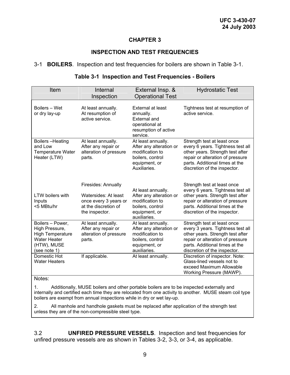#### **INSPECTION AND TEST FREQUENCIES**

#### 3-1 **BOILERS**.Inspection and test frequencies for boilers are shown in Table 3-1.

| Item                                                                                                                | Internal<br>Inspection                                                                                         | External Insp. &<br><b>Operational Test</b>                                                                           | <b>Hydrostatic Test</b>                                                                                                                                                                                    |
|---------------------------------------------------------------------------------------------------------------------|----------------------------------------------------------------------------------------------------------------|-----------------------------------------------------------------------------------------------------------------------|------------------------------------------------------------------------------------------------------------------------------------------------------------------------------------------------------------|
| Boilers - Wet<br>or dry lay-up                                                                                      | At least annually.<br>At resumption of<br>active service.                                                      | External at least<br>annually.<br><b>External and</b><br>operational at<br>resumption of active<br>service.           | Tightness test at resumption of<br>active service.                                                                                                                                                         |
| Boilers-Heating<br>and Low<br><b>Temperature Water</b><br>Heater (LTW)                                              | At least annually.<br>After any repair or<br>alteration of pressure<br>parts.                                  | At least annually.<br>After any alteration or<br>modification to<br>boilers, control<br>equipment, or<br>Auxiliaries. | Strength test at least once<br>every 6 years. Tightness test all<br>other years. Strength test after<br>repair or alteration of pressure<br>parts. Additional times at the<br>discretion of the inspector. |
| <b>LTW</b> boilers with<br>Inputs<br><5 MBtu/hr                                                                     | Firesides: Annually<br>Watersides: At least<br>once every 3 years or<br>at the discretion of<br>the inspector. | At least annually.<br>After any alteration or<br>modification to<br>boilers, control<br>equipment, or<br>auxiliaries. | Strength test at least once<br>every 6 years. Tightness test all<br>other years. Strength test after<br>repair or alteration of pressure<br>parts. Additional times at the<br>discretion of the inspector. |
| Boilers - Power,<br>High Pressure,<br><b>High Temperature</b><br><b>Water Heater</b><br>(HTW), MUSE<br>(see note 1) | At least annually.<br>After any repair or<br>alteration of pressure<br>parts.                                  | At least annually.<br>After any alteration or<br>modification to<br>boilers, control<br>equipment, or<br>auxiliaries. | Strength test at least once<br>every 3 years. Tightness test all<br>other years. Strength test after<br>repair or alteration of pressure<br>parts. Additional times at the<br>discretion of the inspector. |
| Domestic Hot<br><b>Water Heaters</b>                                                                                | If applicable.                                                                                                 | At least annually.                                                                                                    | Discretion of inspector. Note:<br>Glass-lined vessels not to<br>exceed Maximum Allowable<br>Working Pressure (MAWP).                                                                                       |

#### **Table 3-1 Inspection and Test Frequencies - Boilers**

#### Notes:

1. Additionally, MUSE boilers and other portable boilers are to be inspected externally and internally and certified each time they are relocated from one activity to another. MUSE steam coil type boilers are exempt from annual inspections while in dry or wet lay-up.

2. All manhole and handhole gaskets must be replaced after application of the strength test unless they are of the non-compressible steel type.

3.2 **UNFIRED PRESSURE VESSELS**.Inspection and test frequencies for unfired pressure vessels are as shown in Tables 3-2, 3-3, or 3-4, as applicable.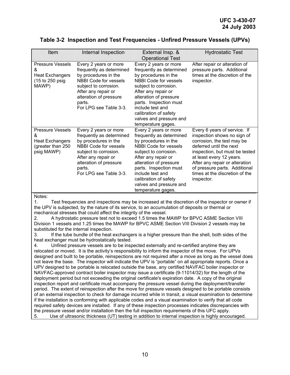| Item                                                                                                      | Internal Inspection                                                                                                                                                                                                     | External Insp. &<br><b>Operational Test</b>                                                                                                                                                                                                                                                                 | <b>Hydrostatic Test</b>                                                                                                                                                                                                                                                                               |
|-----------------------------------------------------------------------------------------------------------|-------------------------------------------------------------------------------------------------------------------------------------------------------------------------------------------------------------------------|-------------------------------------------------------------------------------------------------------------------------------------------------------------------------------------------------------------------------------------------------------------------------------------------------------------|-------------------------------------------------------------------------------------------------------------------------------------------------------------------------------------------------------------------------------------------------------------------------------------------------------|
| <b>Pressure Vessels</b><br>&<br><b>Heat Exchangers</b><br>(15 to 250 psig<br>MAWP)                        | Every 2 years or more<br>frequently as determined<br>by procedures in the<br><b>NBBI Code for vessels</b><br>subject to corrosion.<br>After any repair or<br>alteration of pressure<br>parts.<br>For LPG see Table 3-3. | Every 2 years or more<br>frequently as determined<br>by procedures in the<br><b>NBBI Code for vessels</b><br>subject to corrosion.<br>After any repair or<br>alteration of pressure<br>parts. Inspection must<br>include test and<br>calibration of safety<br>valves and pressure and<br>temperature gages. | After repair or alteration of<br>pressure parts. Additional<br>times at the discretion of the<br>inspector.                                                                                                                                                                                           |
| <b>Pressure Vessels</b><br>&<br><b>Heat Exchangers</b><br>(greater than 250<br>psig MAWP)<br>$\mathbf{A}$ | Every 2 years or more<br>frequently as determined<br>by procedures in the<br><b>NBBI Code for vessels</b><br>subject to corrosion.<br>After any repair or<br>alteration of pressure<br>parts.<br>For LPG see Table 3-3. | Every 2 years or more<br>frequently as determined<br>by procedures in the<br><b>NBBI Code for vessels</b><br>subject to corrosion.<br>After any repair or<br>alteration of pressure<br>parts. Inspection must<br>include test and<br>calibration of safety<br>valves and pressure and<br>temperature gages. | Every 6 years of service. If<br>inspection shows no sign of<br>corrosion, the test may be<br>deferred until the next<br>inspection, but must be tested<br>at least every 12 years.<br>After any repair or alteration<br>of pressure parts. Additional<br>times at the discretion of the<br>inspector. |

#### **Table 3-2 Inspection and Test Frequencies - Unfired Pressure Vessels (UPVs)**

Notes:

1. Test frequencies and inspections may be increased at the discretion of the inspector or owner if the UPV is subjected, by the nature of its service, to an accumulation of deposits or thermal or mechanical stresses that could affect the integrity of the vessel.

2. A hydrostatic pressure test not to exceed 1.5 times the MAWP for BPVC ASME Section VIII Division 1 vessels and 1.25 times the MAWP for BPVC ASME Section VIII Division 2 vessels may be substituted for the internal inspection.

3. If the tube bundle of the heat exchangers is a higher pressure than the shell, both sides of the heat exchanger must be hydrostatically tested.

4. Unfired pressure vessels are to be inspected externally and re-certified anytime they are relocated or moved. It is the activity's responsibility to inform the inspector of the move. For UPVs designed and built to be portable, reinspections are not required after a move as long as the vessel does not leave the base. The inspector will indicate the UPV is "portable" on all appropriate reports. Once a UPV designed to be portable is relocated outside the base, any certified NAVFAC boiler inspector or NAVFAC-approved contract boiler inspector may issue a certificate (9-11014/32) for the length of the deployment period but not exceeding the original certificate's expiration date. A copy of the original inspection report and certificate must accompany the pressure vessel during the deployment/transfer period. The extent of reinspection after the move for pressure vessels designed to be portable consists of an external inspection to check for damage incurred while in transit, a visual examination to determine if the installation is conforming with applicable codes and a visual examination to verify that all code required safety devices are installed. If any of these inspection processes indicates discrepancies with the pressure vessel and/or installation then the full inspection requirements of this UFC apply. 5. Use of ultrasonic thickness (UT) testing in addition to internal inspection is highly encouraged.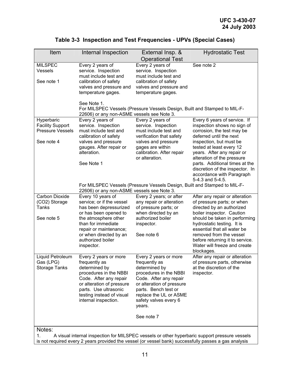| Item                                                                           | Internal Inspection                                                                                                                                                                                                                    | External Insp. &<br><b>Operational Test</b>                                                                                                                                                                                   | <b>Hydrostatic Test</b>                                                                                                                                                                                                                                                                                                          |
|--------------------------------------------------------------------------------|----------------------------------------------------------------------------------------------------------------------------------------------------------------------------------------------------------------------------------------|-------------------------------------------------------------------------------------------------------------------------------------------------------------------------------------------------------------------------------|----------------------------------------------------------------------------------------------------------------------------------------------------------------------------------------------------------------------------------------------------------------------------------------------------------------------------------|
| <b>MILSPEC</b><br><b>Vessels</b><br>See note 1                                 | Every 2 years of<br>service. Inspection<br>must include test and<br>calibration of safety<br>valves and pressure and<br>temperature gages.                                                                                             | Every 2 years of<br>service. Inspection<br>must include test and<br>calibration of safety<br>valves and pressure and<br>temperature gages.                                                                                    | See note 2                                                                                                                                                                                                                                                                                                                       |
|                                                                                | See Note 1.<br>22606) or any non-ASME vessels see Note 3.                                                                                                                                                                              | For MILSPEC Vessels (Pressure Vessels Design, Built and Stamped to MIL-F-                                                                                                                                                     |                                                                                                                                                                                                                                                                                                                                  |
| Hyperbaric<br><b>Facility Support</b><br><b>Pressure Vessels</b><br>See note 4 | Every 2 years of<br>service. Inspection<br>must include test and<br>calibration of safety<br>valves and pressure<br>gauges. After repair or<br>alteration.                                                                             | Every 2 years of<br>service. Inspection<br>must include test and<br>verification that safety<br>valves and pressure<br>gages are within<br>calibration. After repair                                                          | Every 6 years of service. If<br>inspection shows no sign of<br>corrosion, the test may be<br>deferred until the next<br>inspection, but must be<br>tested at least every 12<br>years. After any repair or                                                                                                                        |
|                                                                                | See Note 1                                                                                                                                                                                                                             | or alteration.                                                                                                                                                                                                                | alteration of the pressure<br>parts. Additional times at the<br>discretion of the inspector. In<br>accordance with Paragraph<br>5-4.3 and 5-4.5.                                                                                                                                                                                 |
|                                                                                | 22606) or any non-ASME vessels see Note 3.                                                                                                                                                                                             | For MILSPEC Vessels (Pressure Vessels Design, Built and Stamped to MIL-F-                                                                                                                                                     |                                                                                                                                                                                                                                                                                                                                  |
| <b>Carbon Dioxide</b><br>(CO2) Storage<br>Tanks<br>See note 5                  | Every 10 years of<br>service; or if the vessel<br>has been depressurized<br>or has been opened to<br>the atmosphere other<br>than for immediate<br>repair or maintenance;<br>or when directed by an<br>authorized boiler<br>inspector. | Every 2 years; or after<br>any repair or alteration<br>of pressure parts; or<br>when directed by an<br>authorized boiler<br>inspector.<br>See note 6                                                                          | After any repair or alteration<br>of pressure parts; or when<br>directed by an authorized<br>boiler inspector. Caution<br>should be taken in performing<br>hydrostatic testing. It is<br>essential that all water be<br>removed from the vessel<br>before returning it to service.<br>Water will freeze and create<br>blockages. |
| Liquid Petroleum<br>Gas (LPG)<br><b>Storage Tanks</b>                          | Every 2 years or more<br>frequently as<br>determined by<br>procedures in the NBBI<br>Code. After any repair<br>or alteration of pressure<br>parts. Use ultrasonic<br>testing instead of visual<br>internal inspection.                 | Every 2 years or more<br>frequently as<br>determined by<br>procedures in the NBBI<br>Code. After any repair<br>or alteration of pressure<br>parts. Bench test or<br>replace the UL or ASME<br>safety valves every 6<br>years. | After any repair or alteration<br>of pressure parts, otherwise<br>at the discretion of the<br>inspector.                                                                                                                                                                                                                         |
|                                                                                |                                                                                                                                                                                                                                        | See note 7                                                                                                                                                                                                                    |                                                                                                                                                                                                                                                                                                                                  |
| Notes:<br>1.                                                                   |                                                                                                                                                                                                                                        |                                                                                                                                                                                                                               | A visual internal inspection for MILSPEC vessels or other hyperbaric support pressure vessels<br>is not required every 2 years provided the vessel (or vessel bank) successfully passes a gas analysis                                                                                                                           |

# **Table 3-3 Inspection and Test Frequencies - UPVs (Special Cases)**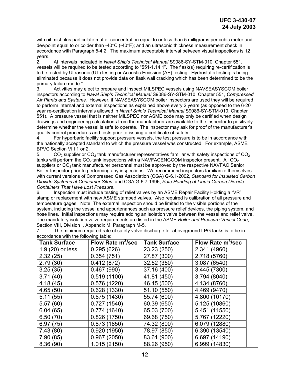with oil mist plus particulate matter concentration equal to or less than 5 milligrams per cubic meter and dewpoint equal to or colder than -40°C (-40°F); and an ultrasonic thickness measurement check in accordance with Paragraph 5-4.2. The maximum acceptable interval between visual inspections is 12 years.

2. At intervals indicated in *Naval Ship's Technical Manual* S9086-SY-STM-010, Chapter 551, vessels will be required to be tested according to "551-1.14.1". The flask(s) requiring re-certification is to be tested by Ultrasonic (UT) testing or Acoustic Emission (AE) testing. Hydrostatic testing is being eliminated because it does not provide data on flask wall cracking which has been determined to be the primary failure mode."

3. Activities may elect to prepare and inspect MILSPEC vessels using NAVSEASYSCOM boiler inspectors according to *Naval Ship's Technical Manual* S9086-SY-STM-010, Chapter 551, *Compressed Air Plants and Systems.* However, if NAVSEASYSCOM boiler inspectors are used they will be required to perform internal and external inspections as explained above every 2 years (as opposed to the 6-20 year re-certification intervals allowed in *Naval Ship's Technical Manual* S9086-SY-STM-010, Chapter 551). A pressure vessel that is neither MILSPEC nor ASME code may only be certified when design drawings and engineering calculations from the manufacturer are available to the inspector to positively determine whether the vessel is safe to operate. The inspector may ask for proof of the manufacturer's quality control procedures and tests prior to issuing a certificate of safety.

4. For hyperbaric facility support pressure vessels, the test pressure is to be in accordance with the nationally accepted standard to which the pressure vessel was constructed. For example, ASME BPVC Section VIII 1 or 2.

5. CO<sub>2</sub> supplier or  $CO<sub>2</sub>$  tank manufacturer representatives familiar with safety inspections of  $CO<sub>2</sub>$ tanks will perform the CO<sub>2</sub> tank inspections with a NAVFACENGCOM inspector present. All CO<sub>2</sub> suppliers or  $CO<sub>2</sub>$  tank manufacturer personnel must be approved by the respective NAVFAC Senior Boiler Inspector prior to performing any inspections. We recommend inspectors familiarize themselves with current versions of Compressed Gas Association (CGA) G-6.1-2002, *Standard for Insulated Carbon Dioxide Systems at Consumer Sites*, and CGA G-6.7-1996, *Safe Handing of Liquid Carbon Dioxide Containers That Have Lost Pressure*.

6. Inspection must include testing of relief valves by an ASME Repair Facility Holding a "VR" stamp or replacement with new ASME stamped valves. Also required is calibration of all pressure and temperature gages. Note: The external inspection should be limited to the visible portions of the system, including the vessel and appurtenances such as pressure relief devices, the piping system, and hose lines. Initial inspections may require adding an isolation valve between the vessel and relief valve. The mandatory isolation valve requirements are listed in the ASME *Boiler and Pressure Vessel Code*, Section VIII, Division I, Appendix M, Paragraph M-5.

| <b>Tank Surface</b> | Flow Rate m <sup>3</sup> /sec | <b>Tank Surface</b> | Flow Rate m <sup>3</sup> /sec |
|---------------------|-------------------------------|---------------------|-------------------------------|
| 1.9 (20) or less    | 0.295(626)                    | 23.23 (250)         | 2.341 (4960)                  |
| 2.32(25)            | 0.354(751)                    | 27.87 (300)         | 2.718 (5760)                  |
| 2.79(30)            | 0.412(872)                    | 32.52 (350)         | 3.087 (6540)                  |
| 3.25(35)            | 0.467(990)                    | 37.16 (400)         | 3.445 (7300)                  |
| 3.71(40)            | 0.519(1100)                   | 41.81 (450)         | 3.794 (8040)                  |
| 4.18(45)            | 0.576(1220)                   | 46.45 (500)         | 4.134 (8760)                  |
| 4.65(50)            | 0.628(1330)                   | 51.10 (550)         | 4.469 (9470)                  |
| 5.11(55)            | 0.675(1430)                   | 55.74 (600)         | 4.800 (10170)                 |
| 5.57(60)            | 0.727(1540)                   | 60.39 (650)         | 5.125 (10860)                 |
| 6.04(65)            | 0.774(1640)                   | 65.03 (700)         | 5.451 (11550)                 |
| 6.50(70)            | 0.826(1750)                   | 69.68 (750)         | 5.767 (12220)                 |
| 6.97(75)            | 0.873(1850)                   | 74.32 (800)         | 6.079 (12880)                 |
| 7.43(80)            | 0.920(1950)                   | 78.97 (850)         | 6.390 (13540)                 |
| 7.90(85)            | 0.967(2050)                   | 83.61 (900)         | 6.697 (14190)                 |
| 8.36(90)            | 1.015 (2150)                  | 88.26 (950)         | 6.999 (14830)                 |

7. The minimum required rate of safety valve discharge for aboveground LPG tanks is to be in accordance with the following table: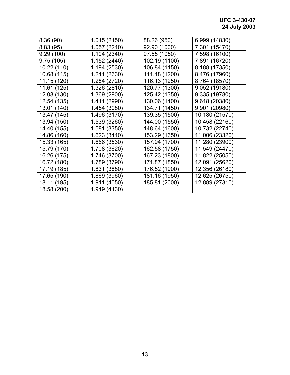# **UFC 3-430-07 24 July 2003**

| 8.36(90)    | 1.015 (2150) | 88.26 (950)   | 6.999 (14830)  |  |
|-------------|--------------|---------------|----------------|--|
| 8.83(95)    | 1.057 (2240) | 92.90 (1000)  | 7.301 (15470)  |  |
| 9.29(100)   | 1.104 (2340) | 97.55 (1050)  | 7.598 (16100)  |  |
| 9.75(105)   | 1.152 (2440) | 102.19 (1100) | 7.891 (16720)  |  |
| 10.22 (110) | 1.194 (2530) | 106.84 (1150) | 8.188 (17350)  |  |
| 10.68 (115) | 1.241 (2630) | 111.48 (1200) | 8.476 (17960)  |  |
| 11.15 (120) | 1.284 (2720) | 116.13 (1250) | 8.764 (18570)  |  |
| 11.61 (125) | 1.326 (2810) | 120.77 (1300) | 9.052 (19180)  |  |
| 12.08 (130) | 1.369 (2900) | 125.42 (1350) | 9.335 (19780)  |  |
| 12.54 (135) | 1.411 (2990) | 130.06 (1400) | 9.618 (20380)  |  |
| 13.01 (140) | 1.454 (3080) | 134.71 (1450) | 9.901 (20980)  |  |
| 13.47 (145) | 1.496 (3170) | 139.35 (1500) | 10.180 (21570) |  |
| 13.94 (150) | 1.539 (3260) | 144.00 (1550) | 10.458 (22160) |  |
| 14.40 (155) | 1.581 (3350) | 148.64 (1600) | 10.732 (22740) |  |
| 14.86 (160) | 1.623 (3440) | 153.29 (1650) | 11.006 (23320) |  |
| 15.33 (165) | 1.666 (3530) | 157.94 (1700) | 11.280 (23900) |  |
| 15.79 (170) | 1.708 (3620) | 162.58 (1750) | 11.549 (24470) |  |
| 16.26 (175) | 1.746 (3700) | 167.23 (1800) | 11.822 (25050) |  |
| 16.72 (180) | 1.789 (3790) | 171.87 (1850) | 12.091 (25620) |  |
| 17.19 (185) | 1.831 (3880) | 176.52 (1900) | 12.356 (26180) |  |
| 17.65 (190) | 1.869 (3960) | 181.16 (1950) | 12.625 (26750) |  |
| 18.11 (195) | 1.911 (4050) | 185.81 (2000) | 12.889 (27310) |  |
| 18.58 (200) | 1.949 (4130) |               |                |  |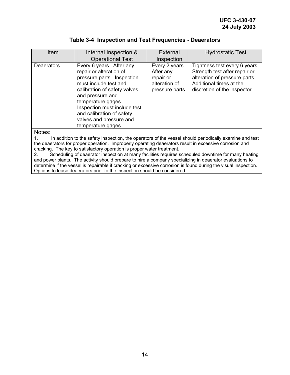### **Table 3-4 Inspection and Test Frequencies - Deaerators**

| Item              | Internal Inspection &<br><b>Operational Test</b>                                                                                                                                                                                                                                                   | <b>External</b><br>Inspection                                                | <b>Hydrostatic Test</b>                                                                                                                                    |
|-------------------|----------------------------------------------------------------------------------------------------------------------------------------------------------------------------------------------------------------------------------------------------------------------------------------------------|------------------------------------------------------------------------------|------------------------------------------------------------------------------------------------------------------------------------------------------------|
| <b>Deaerators</b> | Every 6 years. After any<br>repair or alteration of<br>pressure parts. Inspection<br>must include test and<br>calibration of safety valves<br>and pressure and<br>temperature gages.<br>Inspection must include test<br>and calibration of safety<br>valves and pressure and<br>temperature gages. | Every 2 years.<br>After any<br>repair or<br>alteration of<br>pressure parts. | Tightness test every 6 years.<br>Strength test after repair or<br>alteration of pressure parts.<br>Additional times at the<br>discretion of the inspector. |
| Notes:            |                                                                                                                                                                                                                                                                                                    |                                                                              |                                                                                                                                                            |

Notes:

1. In addition to the safety inspection, the operators of the vessel should periodically examine and test the deaerators for proper operation. Improperly operating deaerators result in excessive corrosion and cracking. The key to satisfactory operation is proper water treatment.

2. Scheduling of deaerator inspection at many facilities requires scheduled downtime for many heating and power plants. The activity should prepare to hire a company specializing in deaerator evaluations to determine if the vessel is repairable if cracking or excessive corrosion is found during the visual inspection. Options to lease deaerators prior to the inspection should be considered.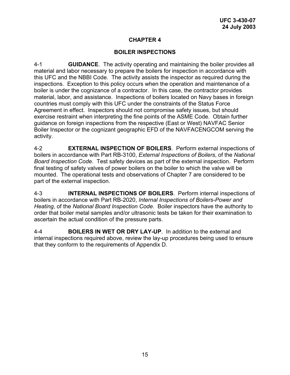#### **BOILER INSPECTIONS**

4-1 **GUIDANCE**. The activity operating and maintaining the boiler provides all material and labor necessary to prepare the boilers for inspection in accordance with this UFC and the NBBI Code. The activity assists the inspector as required during the inspections. Exception to this policy occurs when the operation and maintenance of a boiler is under the cognizance of a contractor. In this case, the contractor provides material, labor, and assistance. Inspections of boilers located on Navy bases in foreign countries must comply with this UFC under the constraints of the Status Force Agreement in effect. Inspectors should not compromise safety issues, but should exercise restraint when interpreting the fine points of the ASME Code. Obtain further guidance on foreign inspections from the respective (East or West) NAVFAC Senior Boiler Inspector or the cognizant geographic EFD of the NAVFACENGCOM serving the activity.

4-2 **EXTERNAL INSPECTION OF BOILERS**. Perform external inspections of boilers in accordance with Part RB-3100, *External Inspections of Boilers*, of the *National Board Inspection Code*. Test safety devices as part of the external inspection. Perform final testing of safety valves of power boilers on the boiler to which the valve will be mounted. The operational tests and observations of Chapter 7 are considered to be part of the external inspection.

4-3 **INTERNAL INSPECTIONS OF BOILERS**. Perform internal inspections of boilers in accordance with Part RB-2020, *Internal Inspections of Boilers-Power and Heating*, of the *National Board Inspection Code*. Boiler inspectors have the authority to order that boiler metal samples and/or ultrasonic tests be taken for their examination to ascertain the actual condition of the pressure parts.

4-4 **BOILERS IN WET OR DRY LAY-UP**.In addition to the external and internal inspections required above, review the lay-up procedures being used to ensure that they conform to the requirements of Appendix D.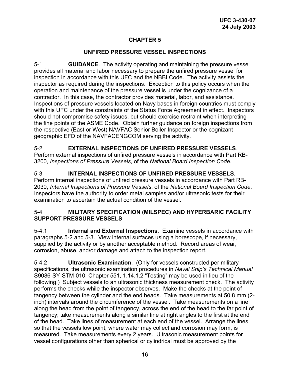### **UNFIRED PRESSURE VESSEL INSPECTIONS**

5-1 **GUIDANCE**. The activity operating and maintaining the pressure vessel provides all material and labor necessary to prepare the unfired pressure vessel for inspection in accordance with this UFC and the NBBI Code. The activity assists the inspector as required during the inspections. Exception to this policy occurs when the operation and maintenance of the pressure vessel is under the cognizance of a contractor. In this case, the contractor provides material, labor, and assistance. Inspections of pressure vessels located on Navy bases in foreign countries must comply with this UFC under the constraints of the Status Force Agreement in effect. Inspectors should not compromise safety issues, but should exercise restraint when interpreting the fine points of the ASME Code. Obtain further guidance on foreign inspections from the respective (East or West) NAVFAC Senior Boiler Inspector or the cognizant geographic EFD of the NAVFACENGCOM serving the activity.

5-2 **EXTERNAL INSPECTIONS OF UNFIRED PRESSURE VESSELS**. Perform external inspections of unfired pressure vessels in accordance with Part RB-3200, *Inspections of Pressure Vessels*, of the *National Board Inspection Code*.

5-3 **INTERNAL INSPECTIONS OF UNFIRED PRESSURE VESSELS**. Perform internal inspections of unfired pressure vessels in accordance with Part RB-2030, *Internal Inspections of Pressure Vessels*, of the *National Board Inspection Code*. Inspectors have the authority to order metal samples and/or ultrasonic tests for their examination to ascertain the actual condition of the vessel.

#### 5-4 **MILITARY SPECIFICATION (MILSPEC) AND HYPERBARIC FACILITY SUPPORT PRESSURE VESSELS**

5-4.1 **Internal and External Inspections**. Examine vessels in accordance with paragraphs 5-2 and 5-3. View internal surfaces using a borescope, if necessary, supplied by the activity or by another acceptable method. Record areas of wear, corrosion, abuse, and/or damage and attach to the inspection report.

5-4.2 **Ultrasonic Examination**. (Only for vessels constructed per military specifications, the ultrasonic examination procedures in *Naval Ship's Technical Manual* S9086-SY-STM-010, Chapter 551, 1.14.1.2 "Testing" may be used in lieu of the following.) Subject vessels to an ultrasonic thickness measurement check. The activity performs the checks while the inspector observes. Make the checks at the point of tangency between the cylinder and the end heads. Take measurements at 50.8 mm (2 inch) intervals around the circumference of the vessel. Take measurements on a line along the head from the point of tangency, across the end of the head to the far point of tangency; take measurements along a similar line at right angles to the first at the end of the head. Take lines of measurement at each end of the vessel. Arrange the lines so that the vessels low point, where water may collect and corrosion may form, is measured. Take measurements every 2 years. Ultrasonic measurement points for vessel configurations other than spherical or cylindrical must be approved by the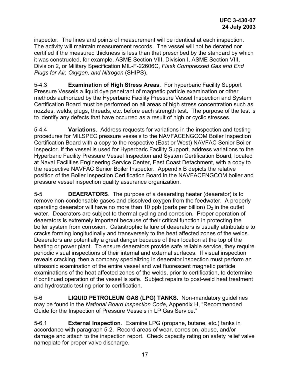inspector. The lines and points of measurement will be identical at each inspection. The activity will maintain measurement records. The vessel will not be derated nor certified if the measured thickness is less than that prescribed by the standard by which it was constructed, for example, ASME Section VIII, Division I, ASME Section VIII, Division 2, or Military Specification MIL-F-22606C, *Flask Compressed Gas and End Plugs for Air, Oxygen, and Nitrogen* (SHIPS).

5-4.3 **Examination of High Stress Areas**. For hyperbaric Facility Support Pressure Vessels a liquid dye penetrant of magnetic particle examination or other methods authorized by the Hyperbaric Facility Pressure Vessel Inspection and System Certification Board must be performed on all areas of high stress concentration such as nozzles, welds, plugs, threads, etc. before each strength test. The purpose of the test is to identify any defects that have occurred as a result of high or cyclic stresses.

5-4.4 **Variations**. Address requests for variations in the inspection and testing procedures for MILSPEC pressure vessels to the NAVFACENGCOM Boiler Inspection Certification Board with a copy to the respective (East or West) NAVFAC Senior Boiler Inspector. If the vessel is used for Hyperbaric Facility Support*,* address variations to the Hyperbaric Facility Pressure Vessel Inspection and System Certification Board, located at Naval Facilities Engineering Service Center, East Coast Detachment, with a copy to the respective NAVFAC Senior Boiler Inspector. Appendix B depicts the relative position of the Boiler Inspection Certification Board in the NAVFACENGCOM boiler and pressure vessel inspection quality assurance organization.

5-5 **DEAERATORS**. The purpose of a deaerating heater (deaerator) is to remove non-condensable gases and dissolved oxygen from the feedwater. A properly operating deaerator will have no more than 10 ppb (parts per billion)  $O<sub>2</sub>$  in the outlet water. Deaerators are subject to thermal cycling and corrosion. Proper operation of deaerators is extremely important because of their critical function in protecting the boiler system from corrosion. Catastrophic failure of deaerators is usually attributable to cracks forming longitudinally and transversely to the heat affected zones of the welds. Deaerators are potentially a great danger because of their location at the top of the heating or power plant. To ensure deaerators provide safe reliable service, they require periodic visual inspections of their internal and external surfaces. If visual inspection reveals cracking, then a company specializing in deaerator inspection must perform an ultrasonic examination of the entire vessel and wet fluorescent magnetic particle examinations of the heat affected zones of the welds, prior to certification, to determine if continued operation of the vessel is safe. Subject repairs to post-weld heat treatment and hydrostatic testing prior to certification.

5-6 **LIQUID PETROLEUM GAS (LPG) TANKS**. Non-mandatory guidelines may be found in the *National Board Inspection Code*, Appendix H, "Recommended Guide for the Inspection of Pressure Vessels in LP Gas Service."

5-6.1 **External Inspection**. Examine LPG (propane, butane, etc.) tanks in accordance with paragraph 5-2. Record areas of wear, corrosion, abuse, and/or damage and attach to the inspection report. Check capacity rating on safety relief valve nameplate for proper valve discharge.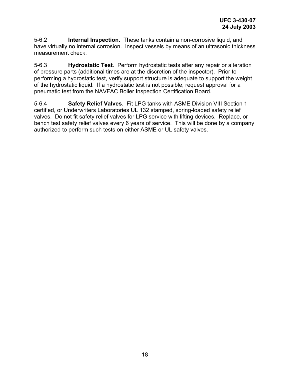5-6.2 **Internal Inspection**. These tanks contain a non-corrosive liquid, and have virtually no internal corrosion. Inspect vessels by means of an ultrasonic thickness measurement check.

5-6.3 **Hydrostatic Test**. Perform hydrostatic tests after any repair or alteration of pressure parts (additional times are at the discretion of the inspector). Prior to performing a hydrostatic test, verify support structure is adequate to support the weight of the hydrostatic liquid. If a hydrostatic test is not possible, request approval for a pneumatic test from the NAVFAC Boiler Inspection Certification Board.

5-6.4 **Safety Relief Valves**. Fit LPG tanks with ASME Division VIII Section 1 certified, or Underwriters Laboratories UL 132 stamped, spring-loaded safety relief valves. Do not fit safety relief valves for LPG service with lifting devices. Replace, or bench test safety relief valves every 6 years of service. This will be done by a company authorized to perform such tests on either ASME or UL safety valves.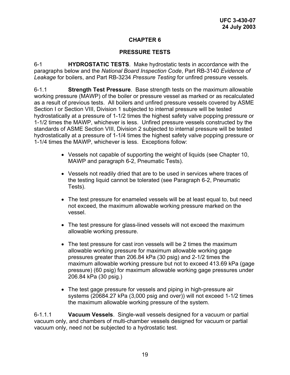### **PRESSURE TESTS**

6-1 **HYDROSTATIC TESTS**. Make hydrostatic tests in accordance with the paragraphs below and the *National Board Inspection Code*, Part RB-3140 *Evidence of Leakage* for boilers, and Part RB-3234 *Pressure Testing* for unfired pressure vessels.

6-1.1 **Strength Test Pressure**. Base strength tests on the maximum allowable working pressure (MAWP) of the boiler or pressure vessel as marked or as recalculated as a result of previous tests. All boilers and unfired pressure vessels covered by ASME Section I or Section VIII, Division 1 subjected to internal pressure will be tested hydrostatically at a pressure of 1-1/2 times the highest safety valve popping pressure or 1-1/2 times the MAWP, whichever is less. Unfired pressure vessels constructed by the standards of ASME Section VIII, Division 2 subjected to internal pressure will be tested hydrostatically at a pressure of 1-1/4 times the highest safety valve popping pressure or 1-1/4 times the MAWP, whichever is less. Exceptions follow:

- Vessels not capable of supporting the weight of liquids (see Chapter 10, MAWP and paragraph 6-2, Pneumatic Tests).
- Vessels not readily dried that are to be used in services where traces of the testing liquid cannot be tolerated (see Paragraph 6-2, Pneumatic Tests).
- The test pressure for enameled vessels will be at least equal to, but need not exceed, the maximum allowable working pressure marked on the vessel.
- The test pressure for glass-lined vessels will not exceed the maximum allowable working pressure.
- The test pressure for cast iron vessels will be 2 times the maximum allowable working pressure for maximum allowable working gage pressures greater than 206.84 kPa (30 psig) and 2-1/2 times the maximum allowable working pressure but not to exceed 413.69 kPa (gage pressure) (60 psig) for maximum allowable working gage pressures under 206.84 kPa (30 psig.)
- The test gage pressure for vessels and piping in high-pressure air systems (20684.27 kPa (3,000 psig and over)) will not exceed 1-1/2 times the maximum allowable working pressure of the system.

6-1.1.1 **Vacuum Vessels**.Single-wall vessels designed for a vacuum or partial vacuum only, and chambers of multi-chamber vessels designed for vacuum or partial vacuum only, need not be subjected to a hydrostatic test.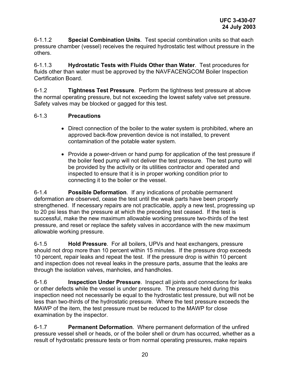6-1.1.2 **Special Combination Units**.Test special combination units so that each pressure chamber (vessel) receives the required hydrostatic test without pressure in the others.

6-1.1.3 **Hydrostatic Tests with Fluids Other than Water**. Test procedures for fluids other than water must be approved by the NAVFACENGCOM Boiler Inspection Certification Board.

6-1.2 **Tightness Test Pressure**. Perform the tightness test pressure at above the normal operating pressure, but not exceeding the lowest safety valve set pressure. Safety valves may be blocked or gagged for this test.

### 6-1.3 **Precautions**

- Direct connection of the boiler to the water system is prohibited, where an approved back-flow prevention device is not installed, to prevent contamination of the potable water system.
- Provide a power-driven or hand pump for application of the test pressure if the boiler feed pump will not deliver the test pressure. The test pump will be provided by the activity or its utilities contractor and operated and inspected to ensure that it is in proper working condition prior to connecting it to the boiler or the vessel.

6-1.4 **Possible Deformation**. If any indications of probable permanent deformation are observed, cease the test until the weak parts have been properly strengthened. If necessary repairs are not practicable, apply a new test, progressing up to 20 psi less than the pressure at which the preceding test ceased. If the test is successful, make the new maximum allowable working pressure two-thirds of the test pressure, and reset or replace the safety valves in accordance with the new maximum allowable working pressure.

6-1.5 **Hold Pressure**. For all boilers, UPVs and heat exchangers, pressure should not drop more than 10 percent within 15 minutes. If the pressure drop exceeds 10 percent, repair leaks and repeat the test. If the pressure drop is within 10 percent and inspection does not reveal leaks in the pressure parts, assume that the leaks are through the isolation valves, manholes, and handholes.

6-1.6 **Inspection Under Pressure**. Inspect all joints and connections for leaks or other defects while the vessel is under pressure. The pressure held during this inspection need not necessarily be equal to the hydrostatic test pressure, but will not be less than two-thirds of the hydrostatic pressure. Where the test pressure exceeds the MAWP of the item, the test pressure must be reduced to the MAWP for close examination by the inspector.

6-1.7 **Permanent Deformation**. Where permanent deformation of the unfired pressure vessel shell or heads, or of the boiler shell or drum has occurred, whether as a result of hydrostatic pressure tests or from normal operating pressures, make repairs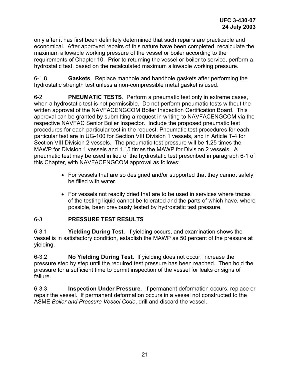only after it has first been definitely determined that such repairs are practicable and economical. After approved repairs of this nature have been completed, recalculate the maximum allowable working pressure of the vessel or boiler according to the requirements of Chapter 10. Prior to returning the vessel or boiler to service, perform a hydrostatic test, based on the recalculated maximum allowable working pressure.

6-1.8 **Gaskets**. Replace manhole and handhole gaskets after performing the hydrostatic strength test unless a non-compressible metal gasket is used.

6-2 **PNEUMATIC TESTS**.Perform a pneumatic test only in extreme cases, when a hydrostatic test is not permissible. Do not perform pneumatic tests without the written approval of the NAVFACENGCOM Boiler Inspection Certification Board. This approval can be granted by submitting a request in writing to NAVFACENGCOM via the respective NAVFAC Senior Boiler Inspector. Include the proposed pneumatic test procedures for each particular test in the request. Pneumatic test procedures for each particular test are in UG-100 for Section VIII Division 1 vessels, and in Article T-4 for Section VIII Division 2 vessels. The pneumatic test pressure will be 1.25 times the MAWP for Division 1 vessels and 1.15 times the MAWP for Division 2 vessels. A pneumatic test may be used in lieu of the hydrostatic test prescribed in paragraph 6-1 of this Chapter, with NAVFACENGCOM approval as follows:

- For vessels that are so designed and/or supported that they cannot safely be filled with water.
- For vessels not readily dried that are to be used in services where traces of the testing liquid cannot be tolerated and the parts of which have, where possible, been previously tested by hydrostatic test pressure.

### 6-3 **PRESSURE TEST RESULTS**

6-3.1 **Yielding During Test**. If yielding occurs, and examination shows the vessel is in satisfactory condition, establish the MAWP as 50 percent of the pressure at yielding.

6-3.2 **No Yielding During Test**. If yielding does not occur, increase the pressure step by step until the required test pressure has been reached. Then hold the pressure for a sufficient time to permit inspection of the vessel for leaks or signs of failure.

6-3.3 **Inspection Under Pressure**. If permanent deformation occurs, replace or repair the vessel. If permanent deformation occurs in a vessel not constructed to the ASME *Boiler and Pressure Vessel Code*, drill and discard the vessel.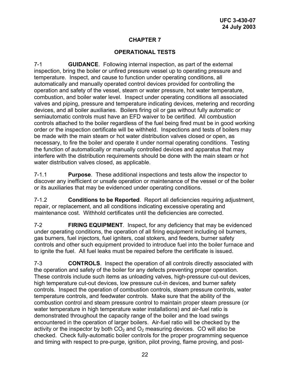### **OPERATIONAL TESTS**

7-1 **GUIDANCE**.Following internal inspection, as part of the external inspection, bring the boiler or unfired pressure vessel up to operating pressure and temperature. Inspect, and cause to function under operating conditions, all automatically and manually operated control devices provided for controlling the operation and safety of the vessel, steam or water pressure, hot water temperature, combustion, and boiler water level. Inspect under operating conditions all associated valves and piping, pressure and temperature indicating devices, metering and recording devices, and all boiler auxiliaries. Boilers firing oil or gas without fully automatic or semiautomatic controls must have an EFD waiver to be certified. All combustion controls attached to the boiler regardless of the fuel being fired must be in good working order or the inspection certificate will be withheld. Inspections and tests of boilers may be made with the main steam or hot water distribution valves closed or open, as necessary, to fire the boiler and operate it under normal operating conditions. Testing the function of automatically or manually controlled devices and apparatus that may interfere with the distribution requirements should be done with the main steam or hot water distribution valves closed, as applicable.

7-1.1 **Purpose**. These additional inspections and tests allow the inspector to discover any inefficient or unsafe operation or maintenance of the vessel or of the boiler or its auxiliaries that may be evidenced under operating conditions.

7-1.2 **Conditions to be Reported**. Report all deficiencies requiring adjustment, repair, or replacement, and all conditions indicating excessive operating and maintenance cost. Withhold certificates until the deficiencies are corrected.

7-2 **FIRING EQUIPMENT**. Inspect, for any deficiency that may be evidenced under operating conditions, the operation of all firing equipment including oil burners, gas burners, fuel injectors, fuel igniters, coal stokers, and feeders, burner safety controls and other such equipment provided to introduce fuel into the boiler furnace and to ignite the fuel. All fuel leaks must be repaired before the certificate is issued.

7-3 **CONTROLS**.Inspect the operation of all controls directly associated with the operation and safety of the boiler for any defects preventing proper operation. These controls include such items as unloading valves, high-pressure cut-out devices, high temperature cut-out devices, low pressure cut-in devices, and burner safety controls. Inspect the operation of combustion controls, steam pressure controls, water temperature controls, and feedwater controls. Make sure that the ability of the combustion control and steam pressure control to maintain proper steam pressure (or water temperature in high temperature water installations) and air-fuel ratio is demonstrated throughout the capacity range of the boiler and the load swings encountered in the operation of larger boilers. Air-fuel ratio will be checked by the activity or the inspector by both  $CO<sub>2</sub>$  and  $O<sub>2</sub>$  measuring devices. CO will also be checked. Check fully-automatic boiler controls for the proper programming sequence and timing with respect to pre-purge, ignition, pilot proving, flame proving, and post-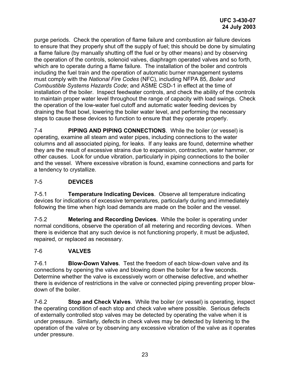purge periods. Check the operation of flame failure and combustion air failure devices to ensure that they properly shut off the supply of fuel; this should be done by simulating a flame failure (by manually shutting off the fuel or by other means) and by observing the operation of the controls, solenoid valves, diaphragm operated valves and so forth, which are to operate during a flame failure. The installation of the boiler and controls including the fuel train and the operation of automatic burner management systems must comply with the *National Fire Codes* (NFC), including NFPA 85, *Boiler and Combustible Systems Hazards Code*; and ASME CSD-1 in effect at the time of installation of the boiler. Inspect feedwater controls, and check the ability of the controls to maintain proper water level throughout the range of capacity with load swings. Check the operation of the low-water fuel cutoff and automatic water feeding devices by draining the float bowl, lowering the boiler water level, and performing the necessary steps to cause these devices to function to ensure that they operate properly.

7-4 **PIPING AND PIPING CONNECTIONS**.While the boiler (or vessel) is operating, examine all steam and water pipes, including connections to the water columns and all associated piping, for leaks. If any leaks are found, determine whether they are the result of excessive strains due to expansion, contraction, water hammer, or other causes. Look for undue vibration, particularly in piping connections to the boiler and the vessel. Where excessive vibration is found, examine connections and parts for a tendency to crystallize.

# 7-5 **DEVICES**

7-5.1 **Temperature Indicating Devices**. Observe all temperature indicating devices for indications of excessive temperatures, particularly during and immediately following the time when high load demands are made on the boiler and the vessel.

7-5.2 **Metering and Recording Devices**. While the boiler is operating under normal conditions, observe the operation of all metering and recording devices. When there is evidence that any such device is not functioning properly, it must be adjusted, repaired, or replaced as necessary.

# 7-6 **VALVES**

7-6.1 **Blow-Down Valves**. Test the freedom of each blow-down valve and its connections by opening the valve and blowing down the boiler for a few seconds. Determine whether the valve is excessively worn or otherwise defective, and whether there is evidence of restrictions in the valve or connected piping preventing proper blowdown of the boiler.

7-6.2 **Stop and Check Valves**. While the boiler (or vessel) is operating, inspect the operating condition of each stop and check valve where possible. Serious defects of externally controlled stop valves may be detected by operating the valve when it is under pressure. Similarly, defects in check valves may be detected by listening to the operation of the valve or by observing any excessive vibration of the valve as it operates under pressure.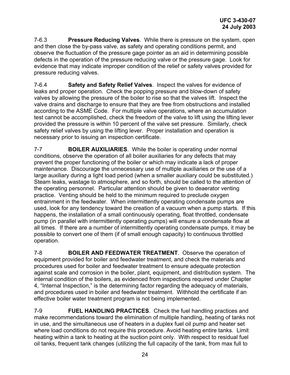7-6.3 **Pressure Reducing Valves**. While there is pressure on the system, open and then close the by-pass valve, as safety and operating conditions permit, and observe the fluctuation of the pressure gage pointer as an aid in determining possible defects in the operation of the pressure reducing valve or the pressure gage. Look for evidence that may indicate improper condition of the relief or safety valves provided for pressure reducing valves.

7-6.4 **Safety and Safety Relief Valves**. Inspect the valves for evidence of leaks and proper operation. Check the popping pressure and blow-down of safety valves by allowing the pressure of the boiler to rise so that the valves lift. Inspect the valve drains and discharge to ensure that they are free from obstructions and installed according to the ASME Code. For multiple valve operations, where an accumulation test cannot be accomplished, check the freedom of the valve to lift using the lifting lever provided the pressure is within 10 percent of the valve set pressure. Similarly, check safety relief valves by using the lifting lever. Proper installation and operation is necessary prior to issuing an inspection certificate.

7-7 **BOILER AUXILIARIES**.While the boiler is operating under normal conditions, observe the operation of all boiler auxiliaries for any defects that may prevent the proper functioning of the boiler or which may indicate a lack of proper maintenance. Discourage the unnecessary use of multiple auxiliaries or the use of a large auxiliary during a light load period (when a smaller auxiliary could be substituted.) Steam leaks, wastage to atmosphere, and so forth, should be called to the attention of the operating personnel. Particular attention should be given to deaerator venting practice. Venting should be held to the minimum required to preclude oxygen entrainment in the feedwater. When intermittently operating condensate pumps are used, look for any tendency toward the creation of a vacuum when a pump starts. If this happens, the installation of a small continuously operating, float throttled, condensate pump (in parallel with intermittently operating pumps) will ensure a condensate flow at all times. If there are a number of intermittently operating condensate pumps, it may be possible to convert one of them (if of small enough capacity) to continuous throttled operation.

7-8 **BOILER AND FEEDWATER TREATMENT**.Observe the operation of equipment provided for boiler and feedwater treatment, and check the materials and procedures used for boiler and feedwater treatment to ensure adequate protection against scale and corrosion in the boiler, plant, equipment, and distribution system. The internal condition of the boilers, as evidenced from inspections required under Chapter 4, "Internal Inspection," is the determining factor regarding the adequacy of materials, and procedures used in boiler and feedwater treatment. Withhold the certificate if an effective boiler water treatment program is not being implemented.

7-9 **FUEL HANDLING PRACTICES**.Check the fuel handling practices and make recommendations toward the elimination of multiple handling, heating of tanks not in use, and the simultaneous use of heaters in a duplex fuel oil pump and heater set where load conditions do not require this procedure. Avoid heating entire tanks. Limit heating within a tank to heating at the suction point only. With respect to residual fuel oil tanks, frequent tank changes (utilizing the full capacity of the tank, from max full to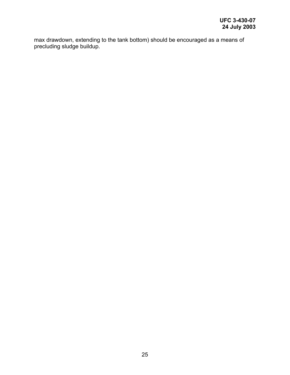max drawdown, extending to the tank bottom) should be encouraged as a means of precluding sludge buildup.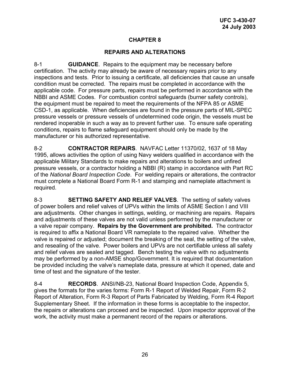### **REPAIRS AND ALTERATIONS**

8-1 **GUIDANCE**.Repairs to the equipment may be necessary before certification. The activity may already be aware of necessary repairs prior to any inspections and tests. Prior to issuing a certificate, all deficiencies that cause an unsafe condition must be corrected. The repairs must be completed in accordance with the applicable code. For pressure parts, repairs must be performed in accordance with the NBBI and ASME Codes. For combustion control safeguards (burner safety controls), the equipment must be repaired to meet the requirements of the NFPA 85 or ASME CSD-1, as applicable. When deficiencies are found in the pressure parts of MIL-SPEC pressure vessels or pressure vessels of undetermined code origin, the vessels must be rendered inoperable in such a way as to prevent further use. To ensure safe operating conditions, repairs to flame safeguard equipment should only be made by the manufacturer or his authorized representative.

8-2 **CONTRACTOR REPAIRS**.NAVFAC Letter 11370/02, 1637 of 18 May 1995, allows activities the option of using Navy welders qualified in accordance with the applicable Military Standards to make repairs and alterations to boilers and unfired pressure vessels, or a contractor holding a NBBI (R) stamp in accordance with Part RC of the *National Board Inspection Code*. For welding repairs or alterations, the contractor must complete a National Board Form R-1 and stamping and nameplate attachment is required.

8-3 **SETTING SAFETY AND RELIEF VALVES**.The setting of safety valves of power boilers and relief valves of UPVs within the limits of ASME Section I and VIII are adjustments. Other changes in settings, welding, or machining are repairs. Repairs and adjustments of these valves are not valid unless performed by the manufacturer or a valve repair company. **Repairs by the Government are prohibited.** The contractor is required to affix a National Board VR nameplate to the repaired valve. Whether the valve is repaired or adjusted; document the breaking of the seal, the setting of the valve, and resealing of the valve. Power boilers and UPVs are not certifiable unless all safety and relief valves are sealed and tagged. Bench testing the valve with no adjustments may be performed by a non-AMSE shop/Government. It is required that documentation be provided including the valve's nameplate data, pressure at which it opened, date and time of test and the signature of the tester.

8-4 **RECORDS**.ANSI/NB-23, National Board Inspection Code, Appendix 5, gives the formats for the varies forms: Form R-1 Report of Welded Repair, Form R-2 Report of Alteration, Form R-3 Report of Parts Fabricated by Welding, Form R-4 Report Supplementary Sheet.If the information in these forms is acceptable to the inspector, the repairs or alterations can proceed and be inspected. Upon inspector approval of the work, the activity must make a permanent record of the repairs or alterations.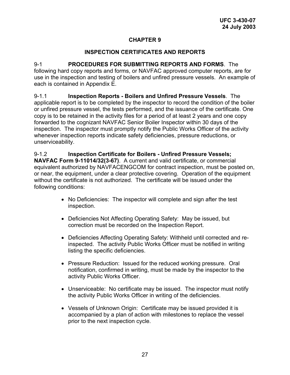### **INSPECTION CERTIFICATES AND REPORTS**

9-1 **PROCEDURES FOR SUBMITTING REPORTS AND FORMS**.The following hard copy reports and forms, or NAVFAC approved computer reports, are for use in the inspection and testing of boilers and unfired pressure vessels. An example of each is contained in Appendix E.

9-1.1 **Inspection Reports - Boilers and Unfired Pressure Vessels**.The applicable report is to be completed by the inspector to record the condition of the boiler or unfired pressure vessel, the tests performed, and the issuance of the certificate. One copy is to be retained in the activity files for a period of at least 2 years and one copy forwarded to the cognizant NAVFAC Senior Boiler Inspector within 30 days of the inspection. The inspector must promptly notify the Public Works Officer of the activity whenever inspection reports indicate safety deficiencies, pressure reductions, or unserviceability.

9-1.2 **Inspection Certificate for Boilers - Unfired Pressure Vessels; NAVFAC Form 9-11014/32(3-67)**. A current and valid certificate, or commercial equivalent authorized by NAVFACENGCOM for contract inspection, must be posted on, or near, the equipment, under a clear protective covering. Operation of the equipment without the certificate is not authorized. The certificate will be issued under the following conditions:

- No Deficiencies: The inspector will complete and sign after the test inspection.
- Deficiencies Not Affecting Operating Safety: May be issued, but correction must be recorded on the Inspection Report.
- Deficiencies Affecting Operating Safety: Withheld until corrected and reinspected. The activity Public Works Officer must be notified in writing listing the specific deficiencies.
- Pressure Reduction: Issued for the reduced working pressure. Oral notification, confirmed in writing, must be made by the inspector to the activity Public Works Officer.
- Unserviceable: No certificate may be issued. The inspector must notify the activity Public Works Officer in writing of the deficiencies.
- Vessels of Unknown Origin: Certificate may be issued provided it is accompanied by a plan of action with milestones to replace the vessel prior to the next inspection cycle.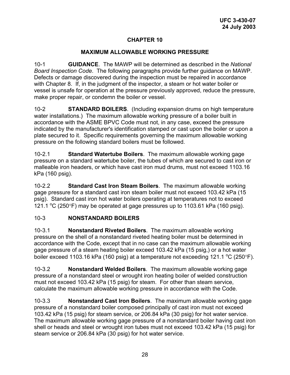### **MAXIMUM ALLOWABLE WORKING PRESSURE**

10-1 **GUIDANCE**.The MAWP will be determined as described in the *National Board Inspection Code*. The following paragraphs provide further guidance on MAWP. Defects or damage discovered during the inspection must be repaired in accordance with Chapter 8. If, in the judgment of the inspector, a steam or hot water boiler or vessel is unsafe for operation at the pressure previously approved, reduce the pressure, make proper repair, or condemn the boiler or vessel.

10-2 **STANDARD BOILERS**. (Including expansion drums on high temperature water installations.) The maximum allowable working pressure of a boiler built in accordance with the ASME BPVC Code must not, in any case, exceed the pressure indicated by the manufacturer's identification stamped or cast upon the boiler or upon a plate secured to it. Specific requirements governing the maximum allowable working pressure on the following standard boilers must be followed.

10-2.1 **Standard Watertube Boilers**. The maximum allowable working gage pressure on a standard watertube boiler, the tubes of which are secured to cast iron or malleable iron headers, or which have cast iron mud drums, must not exceed 1103.16 kPa (160 psig).

10-2.2 **Standard Cast Iron Steam Boilers**. The maximum allowable working gage pressure for a standard cast iron steam boiler must not exceed 103.42 kPa (15 psig). Standard cast iron hot water boilers operating at temperatures not to exceed 121.1 °C (250°F) may be operated at gage pressures up to 1103.61 kPa (160 psig).

### 10-3 **NONSTANDARD BOILERS**

10-3.1 **Nonstandard Riveted Boilers**. The maximum allowable working pressure on the shell of a nonstandard riveted heating boiler must be determined in accordance with the Code, except that in no case can the maximum allowable working gage pressure of a steam heating boiler exceed 103.42 kPa (15 psig,) or a hot water boiler exceed 1103.16 kPa (160 psig) at a temperature not exceeding 121.1  $^{\circ}$ C (250 $^{\circ}$ F).

10-3.2 **Nonstandard Welded Boilers**. The maximum allowable working gage pressure of a nonstandard steel or wrought iron heating boiler of welded construction must not exceed 103.42 kPa (15 psig) for steam. For other than steam service, calculate the maximum allowable working pressure in accordance with the Code.

10-3.3 **Nonstandard Cast Iron Boilers**. The maximum allowable working gage pressure of a nonstandard boiler composed principally of cast iron must not exceed 103.42 kPa (15 psig) for steam service, or 206.84 kPa (30 psig) for hot water service. The maximum allowable working gage pressure of a nonstandard boiler having cast iron shell or heads and steel or wrought iron tubes must not exceed 103.42 kPa (15 psig) for steam service or 206.84 kPa (30 psig) for hot water service.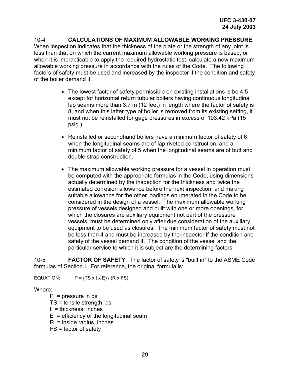10-4 **CALCULATIONS OF MAXIMUM ALLOWABLE WORKING PRESSURE**. When inspection indicates that the thickness of the plate or the strength of any joint is less than that on which the current maximum allowable working pressure is based, or when it is impracticable to apply the required hydrostatic test, calculate a new maximum allowable working pressure in accordance with the rules of the Code. The following factors of safety must be used and increased by the inspector if the condition and safety of the boiler demand it:

- The lowest factor of safety permissible on existing installations is be 4.5 except for horizontal return tubular boilers having continuous longitudinal lap seams more than 3.7 m (12 feet) in length where the factor of safety is 8, and when this latter type of boiler is removed from its existing setting, it must not be reinstalled for gage pressures in excess of 103.42 kPa (15 psig.)
- Reinstalled or secondhand boilers have a minimum factor of safety of 6 when the longitudinal seams are of lap riveted construction, and a minimum factor of safety of 5 when the longitudinal seams are of butt and double strap construction.
- The maximum allowable working pressure for a vessel in operation must be computed with the appropriate formulas in the Code, using dimensions actually determined by the inspection for the thickness and twice the estimated corrosion allowance before the next inspection, and making suitable allowance for the other loadings enumerated in the Code to be considered in the design of a vessel. The maximum allowable working pressure of vessels designed and built with one or more openings, for which the closures are auxiliary equipment not part of the pressure vessels, must be determined only after due consideration of the auxiliary equipment to be used as closures. The minimum factor of safety must not be less than 4 and must be increased by the inspector if the condition and safety of the vessel demand it. The condition of the vessel and the particular service to which it is subject are the determining factors.

10-5 **FACTOR OF SAFETY**.The factor of safety is "built in" to the ASME Code formulas of Section I. For reference, the original formula is:

EQUATION:  $P = (TS \times t \times E) / (R \times FS)$ 

#### Where:

- $P = pressure$  in psi
- TS = tensile strength, psi
- $t =$  thickness, inches
- $E =$  efficiency of the longitudinal seam
- $R =$  inside radius, inches
- FS = factor of safety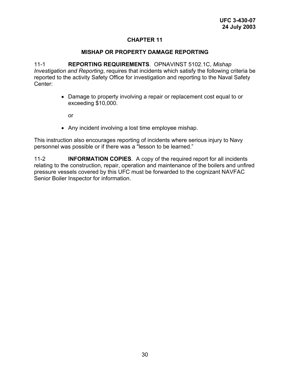#### **MISHAP OR PROPERTY DAMAGE REPORTING**

11-1 **REPORTING REQUIREMENTS**.OPNAVINST 5102.1C, *Mishap Investigation and Reporting*, requires that incidents which satisfy the following criteria be reported to the activity Safety Office for investigation and reporting to the Naval Safety Center:

> • Damage to property involving a repair or replacement cost equal to or exceeding \$10,000.

or

• Any incident involving a lost time employee mishap.

This instruction also encourages reporting of incidents where serious injury to Navy personnel was possible or if there was a "lesson to be learned."

11-2 **INFORMATION COPIES**. A copy of the required report for all incidents relating to the construction, repair, operation and maintenance of the boilers and unfired pressure vessels covered by this UFC must be forwarded to the cognizant NAVFAC Senior Boiler Inspector for information.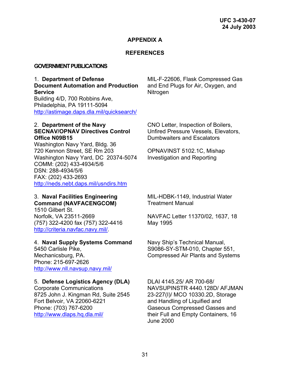#### **APPENDIX A**

#### **REFERENCES**

#### **GOVERNMENT PUBLICATIONS**

#### 1. **Department of Defense Document Automation and Production Service**

Building 4/D, 700 Robbins Ave, Philadelphia, PA 19111-5094 <http://astimage.daps.dla.mil/quicksearch/> MIL-F-22606, Flask Compressed Gas and End Plugs for Air, Oxygen, and Nitrogen

#### 2. **Department of the Navy SECNAV/OPNAV Directives Control Office N09B15**

Washington Navy Yard, Bldg. 36 720 Kennon Street, SE Rm 203 Washington Navy Yard, DC 20374-5074 COMM: (202) 433-4934/5/6 DSN: 288-4934/5/6 FAX: (202) 433-2693 <http://neds.nebt.daps.mil/usndirs.htm>

# 3. **Naval Facilities Engineering Command (NAVFACENGCOM)**

1510 Gilbert St. Norfolk, VA 23511-2669 (757) 322-4200 fax (757) 322-4416 <http://criteria.navfac.navy.mil/>.

#### 4. **Naval Supply Systems Command**

5450 Carlisle Pike, Mechanicsburg, PA. Phone: 215-697-2626 <http://www.nll.navsup.navy.mil/>

#### 5. **Defense Logistics Agency (DLA)**

Corporate Communications 8725 John J. Kingman Rd, Suite 2545 Fort Belvoir, VA 22060-6221 Phone: (703) 767-6200 <http://www.dlaps.hq.dla.mil/>

CNO Letter, Inspection of Boilers, Unfired Pressure Vessels, Elevators, Dumbwaiters and Escalators

OPNAVINST 5102.1C, Mishap Investigation and Reporting

MIL-HDBK-1149, Industrial Water Treatment Manual

NAVFAC Letter 11370/02, 1637, 18 May 1995

Navy Ship's Technical Manual, S9086-SY-STM-010, Chapter 551, Compressed Air Plants and Systems

DLAI 4145.25/ AR 700-68/ NAVSUPINSTR 4440.128D/ AFJMAN 23-227(I)/ MCO 10330.2D, Storage and Handling of Liquified and Gaseous Compressed Gasses and their Full and Empty Containers, 16 June 2000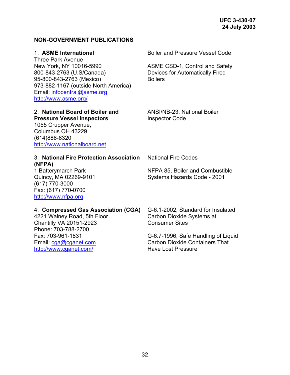**UFC 3-430-07 24 July 2003** 

# **NON-GOVERNMENT PUBLICATIONS**

# 1. **ASME International**

Three Park Avenue New York, NY 10016-5990 800-843-2763 (U.S/Canada) 95-800-843-2763 (Mexico) 973-882-1167 (outside North America) Email: [infocentral@asme.org](mailto:infocentral@asme.org) <http://www.asme.org/>

# 2. **National Board of Boiler and Pressure Vessel Inspectors**

1055 Crupper Avenue, Columbus OH 43229 (614)888-8320 [http://www.nationalboard.net](http://www.nationalboard.net/) Boiler and Pressure Vessel Code

ASME CSD-1, Control and Safety Devices for Automatically Fired **Boilers** 

ANSI/NB-23, National Boiler Inspector Code

#### 3. **National Fire Protection Association (NFPA)**

1 Batterymarch Park Quincy, MA 02269-9101 (617) 770-3000 Fax: (617) 770-0700 [http://www.nfpa.org](http://www.nfpa.org/)

National Fire Codes

NFPA 85, Boiler and Combustible Systems Hazards Code - 2001

# 4. **Compressed Gas Association (CGA)**

4221 Walney Road, 5th Floor Chantilly VA 20151-2923 Phone: 703-788-2700 Fax: 703-961-1831 Email: [cga@cganet.com](mailto:cga@cganet.com) <http://www.cganet.com/>

G-6.1-2002, Standard for Insulated Carbon Dioxide Systems at Consumer Sites

G-6.7-1996, Safe Handling of Liquid Carbon Dioxide Containers That Have Lost Pressure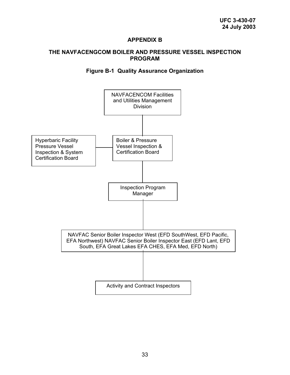#### **APPENDIX B**

#### **THE NAVFACENGCOM BOILER AND PRESSURE VESSEL INSPECTION PROGRAM**

### **Figure B-1 Quality Assurance Organization**

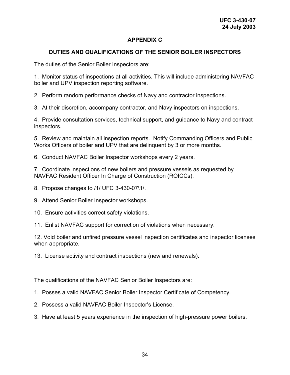### **APPENDIX C**

#### **DUTIES AND QUALIFICATIONS OF THE SENIOR BOILER INSPECTORS**

The duties of the Senior Boiler Inspectors are:

1. Monitor status of inspections at all activities. This will include administering NAVFAC boiler and UPV inspection reporting software.

2. Perform random performance checks of Navy and contractor inspections.

3. At their discretion, accompany contractor, and Navy inspectors on inspections.

4. Provide consultation services, technical support, and guidance to Navy and contract inspectors.

5. Review and maintain all inspection reports. Notify Commanding Officers and Public Works Officers of boiler and UPV that are delinquent by 3 or more months.

6. Conduct NAVFAC Boiler Inspector workshops every 2 years.

7. Coordinate inspections of new boilers and pressure vessels as requested by NAVFAC Resident Officer In Charge of Construction (ROICCs).

- 8. Propose changes to /1/ UFC 3-430-07\1\.
- 9. Attend Senior Boiler Inspector workshops.
- 10. Ensure activities correct safety violations.
- 11. Enlist NAVFAC support for correction of violations when necessary.

12. Void boiler and unfired pressure vessel inspection certificates and inspector licenses when appropriate.

13. License activity and contract inspections (new and renewals).

The qualifications of the NAVFAC Senior Boiler Inspectors are:

- 1. Posses a valid NAVFAC Senior Boiler Inspector Certificate of Competency.
- 2. Possess a valid NAVFAC Boiler Inspector's License.
- 3. Have at least 5 years experience in the inspection of high-pressure power boilers.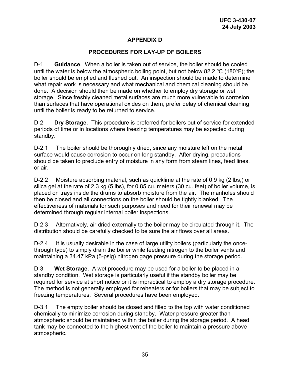# **APPENDIX D**

### **PROCEDURES FOR LAY-UP OF BOILERS**

D-1 **Guidance**. When a boiler is taken out of service, the boiler should be cooled until the water is below the atmospheric boiling point, but not below 82.2 ºC (180°F); the boiler should be emptied and flushed out. An inspection should be made to determine what repair work is necessary and what mechanical and chemical cleaning should be done. A decision should then be made on whether to employ dry storage or wet storage. Since freshly cleaned metal surfaces are much more vulnerable to corrosion than surfaces that have operational oxides on them, prefer delay of chemical cleaning until the boiler is ready to be returned to service.

D-2 **Dry Storage**.This procedure is preferred for boilers out of service for extended periods of time or in locations where freezing temperatures may be expected during standby.

D-2.1The boiler should be thoroughly dried, since any moisture left on the metal surface would cause corrosion to occur on long standby. After drying, precautions should be taken to preclude entry of moisture in any form from steam lines, feed lines, or air.

D-2.2Moisture absorbing material, such as quicklime at the rate of 0.9 kg (2 lbs,) or silica gel at the rate of 2.3 kg (5 lbs), for 0.85 cu. meters (30 cu. feet) of boiler volume, is placed on trays inside the drums to absorb moisture from the air. The manholes should then be closed and all connections on the boiler should be tightly blanked. The effectiveness of materials for such purposes and need for their renewal may be determined through regular internal boiler inspections.

D-2.3Alternatively, air dried externally to the boiler may be circulated through it. The distribution should be carefully checked to be sure the air flows over all areas.

D-2.4It is usually desirable in the case of large utility boilers (particularly the oncethrough type) to simply drain the boiler while feeding nitrogen to the boiler vents and maintaining a 34.47 kPa (5-psig) nitrogen gage pressure during the storage period.

D-3 **Wet Storage**.A wet procedure may be used for a boiler to be placed in a standby condition. Wet storage is particularly useful if the standby boiler may be required for service at short notice or it is impractical to employ a dry storage procedure. The method is not generally employed for reheaters or for boilers that may be subject to freezing temperatures. Several procedures have been employed.

D-3.1The empty boiler should be closed and filled to the top with water conditioned chemically to minimize corrosion during standby. Water pressure greater than atmospheric should be maintained within the boiler during the storage period. A head tank may be connected to the highest vent of the boiler to maintain a pressure above atmospheric.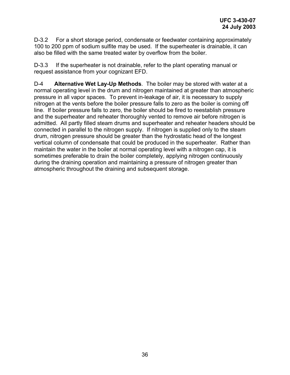D-3.2For a short storage period, condensate or feedwater containing approximately 100 to 200 ppm of sodium sulfite may be used. If the superheater is drainable, it can also be filled with the same treated water by overflow from the boiler.

D-3.3If the superheater is not drainable, refer to the plant operating manual or request assistance from your cognizant EFD.

D-4 **Alternative Wet Lay-Up Methods**.The boiler may be stored with water at a normal operating level in the drum and nitrogen maintained at greater than atmospheric pressure in all vapor spaces. To prevent in-leakage of air, it is necessary to supply nitrogen at the vents before the boiler pressure falls to zero as the boiler is coming off line. If boiler pressure falls to zero, the boiler should be fired to reestablish pressure and the superheater and reheater thoroughly vented to remove air before nitrogen is admitted. All partly filled steam drums and superheater and reheater headers should be connected in parallel to the nitrogen supply. If nitrogen is supplied only to the steam drum, nitrogen pressure should be greater than the hydrostatic head of the longest vertical column of condensate that could be produced in the superheater. Rather than maintain the water in the boiler at normal operating level with a nitrogen cap, it is sometimes preferable to drain the boiler completely, applying nitrogen continuously during the draining operation and maintaining a pressure of nitrogen greater than atmospheric throughout the draining and subsequent storage.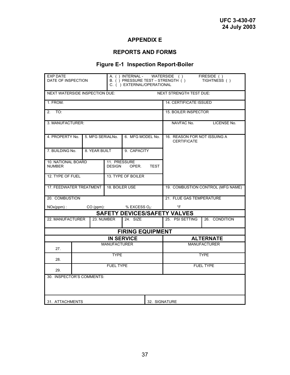# **APPENDIX E**

# **REPORTS AND FORMS**

# **Figure E-1 Inspection Report-Boiler**

| <b>EXP DATE</b><br>DATE OF INSPECTION | A. () INTERNAL - WATERSIDE () FIRESIDE ()<br>B. () PRESSURE TEST – STRENGTH ()<br>C. ( ) EXTERNAL/OPERATIONAL |                               |                         |             |                                                    | TIGHTNESS ()                      |
|---------------------------------------|---------------------------------------------------------------------------------------------------------------|-------------------------------|-------------------------|-------------|----------------------------------------------------|-----------------------------------|
| <b>NEXT WATERSIDE INSPECTION DUE:</b> |                                                                                                               |                               |                         |             | <b>NEXT STRENGTH TEST DUE:</b>                     |                                   |
| 1. FROM:                              |                                                                                                               |                               |                         |             | <b>14. CERTIFICATE ISSUED</b>                      |                                   |
| TO:<br>2.                             |                                                                                                               |                               |                         |             | <b>15. BOILER INSPECTOR</b>                        |                                   |
| 3. MANUFACTURER:                      |                                                                                                               |                               |                         |             | NAVFAC No.                                         | LICENSE No.                       |
| 4. PROPERTY No.                       | 5. MFG SERIALNo.                                                                                              |                               | 6. MFG MODEL No.        |             | 16. REASON FOR NOT ISSUING A<br><b>CERTIFICATE</b> |                                   |
| 7. BUILDING No.                       | 8. YEAR BUILT                                                                                                 |                               | 9. CAPACITY             |             |                                                    |                                   |
| 10. NATIONAL BOARD<br><b>NUMBER</b>   |                                                                                                               | 11. PRESSURE<br><b>DESIGN</b> | OPER.                   | <b>TEST</b> |                                                    |                                   |
| 12. TYPE OF FUEL                      | 13. TYPE OF BOILER                                                                                            |                               |                         |             |                                                    |                                   |
| 17. FEEDWATER TREATMENT               |                                                                                                               | 18. BOILER USE                |                         |             |                                                    | 19. COMBUSTION CONTROL (MFG NAME) |
| 20. COMBUSTION                        |                                                                                                               |                               |                         |             | 21. FLUE GAS TEMPERATURE                           |                                   |
| $NOx(ppm)$ :                          | $CO (ppm)$ :                                                                                                  |                               | $%$ EXCESS $O2$ :       |             | $\degree$ F                                        |                                   |
|                                       |                                                                                                               |                               |                         |             | <b>SAFETY DEVICES/SAFETY VALVES</b>                |                                   |
| 22. MANUFACTURER                      |                                                                                                               | 23. NUMBER                    | 24. SIZE                |             | 25. PSI SETTING                                    | 26. CONDITION                     |
|                                       |                                                                                                               |                               | <b>FIRING EQUIPMENT</b> |             |                                                    |                                   |
|                                       |                                                                                                               |                               | <b>IN SERVICE</b>       |             |                                                    | <b>ALTERNATE</b>                  |
| 27.                                   |                                                                                                               | <b>MANUFACTURER</b>           |                         |             |                                                    | <b>MANUFACTURER</b>               |
| 28.                                   | <b>TYPE</b>                                                                                                   |                               |                         | <b>TYPE</b> |                                                    |                                   |
| <b>FUEL TYPE</b><br>29.               |                                                                                                               |                               |                         |             | <b>FUEL TYPE</b>                                   |                                   |
| 30. INSPECTOR'S COMMENTS:             |                                                                                                               |                               |                         |             |                                                    |                                   |
| 31. ATTACHMENTS                       |                                                                                                               |                               | 32. SIGNATURE           |             |                                                    |                                   |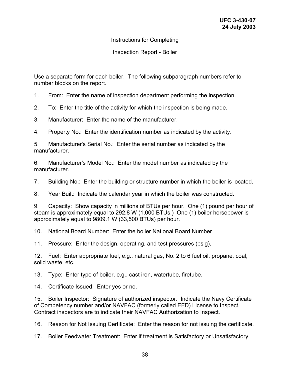Instructions for Completing

Inspection Report - Boiler

Use a separate form for each boiler. The following subparagraph numbers refer to number blocks on the report.

1. From: Enter the name of inspection department performing the inspection.

2. To: Enter the title of the activity for which the inspection is being made.

3. Manufacturer: Enter the name of the manufacturer.

4. Property No.: Enter the identification number as indicated by the activity.

5. Manufacturer's Serial No.: Enter the serial number as indicated by the manufacturer.

6. Manufacturer's Model No.: Enter the model number as indicated by the manufacturer.

7. Building No.: Enter the building or structure number in which the boiler is located.

8. Year Built: Indicate the calendar year in which the boiler was constructed.

9. Capacity: Show capacity in millions of BTUs per hour. One (1) pound per hour of steam is approximately equal to 292.8 W (1,000 BTUs.) One (1) boiler horsepower is approximately equal to 9809.1 W (33,500 BTUs) per hour.

10. National Board Number: Enter the boiler National Board Number

11. Pressure: Enter the design, operating, and test pressures (psig).

12. Fuel: Enter appropriate fuel, e.g., natural gas, No. 2 to 6 fuel oil, propane, coal, solid waste, etc.

13. Type: Enter type of boiler, e.g., cast iron, watertube, firetube.

14. Certificate Issued: Enter yes or no.

15. Boiler Inspector: Signature of authorized inspector. Indicate the Navy Certificate of Competency number and/or NAVFAC (formerly called EFD) License to Inspect. Contract inspectors are to indicate their NAVFAC Authorization to Inspect.

16. Reason for Not Issuing Certificate: Enter the reason for not issuing the certificate.

17. Boiler Feedwater Treatment: Enter if treatment is Satisfactory or Unsatisfactory.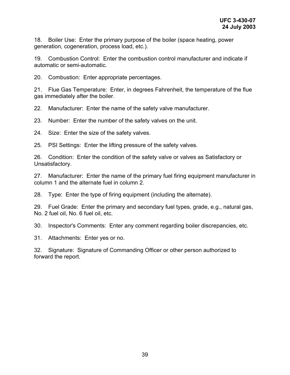18. Boiler Use: Enter the primary purpose of the boiler (space heating, power generation, cogeneration, process load, etc.).

19. Combustion Control: Enter the combustion control manufacturer and indicate if automatic or semi-automatic.

20. Combustion: Enter appropriate percentages.

21. Flue Gas Temperature: Enter, in degrees Fahrenheit, the temperature of the flue gas immediately after the boiler.

22. Manufacturer: Enter the name of the safety valve manufacturer.

23. Number: Enter the number of the safety valves on the unit.

24. Size: Enter the size of the safety valves.

25. PSI Settings: Enter the lifting pressure of the safety valves.

26. Condition: Enter the condition of the safety valve or valves as Satisfactory or Unsatisfactory.

27. Manufacturer: Enter the name of the primary fuel firing equipment manufacturer in column 1 and the alternate fuel in column 2.

28. Type: Enter the type of firing equipment (including the alternate).

29. Fuel Grade: Enter the primary and secondary fuel types, grade, e.g., natural gas, No. 2 fuel oil, No. 6 fuel oil, etc.

30. Inspector's Comments: Enter any comment regarding boiler discrepancies, etc.

31. Attachments: Enter yes or no.

32. Signature: Signature of Commanding Officer or other person authorized to forward the report.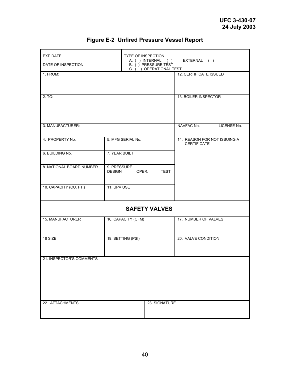| <b>EXP DATE</b><br>DATE OF INSPECTION |                              | TYPE OF INSPECTION | EXTERNAL ()<br>A. ( ) INTERNAL ( )<br>B. () PRESSURE TEST<br>C. ( ) OPERATIONAL TEST |                                                    |             |
|---------------------------------------|------------------------------|--------------------|--------------------------------------------------------------------------------------|----------------------------------------------------|-------------|
| 1. FROM:                              |                              |                    |                                                                                      | 12. CERTIFICATE ISSUED                             |             |
| 2. TO:                                |                              |                    |                                                                                      | 13. BOILER INSPECTOR                               |             |
| 3. MANUFACTURER:                      |                              |                    |                                                                                      | NAVFAC No.                                         | LICENSE No. |
| 4. PROPERTY No.                       |                              | 5. MFG SERIAL No.  |                                                                                      | 14. REASON FOR NOT ISSUING A<br><b>CERTIFICATE</b> |             |
| 6. BUILDING No.                       | 7. YEAR BUILT                |                    |                                                                                      |                                                    |             |
| 8. NATIONAL BOARD NUMBER              | 9. PRESSURE<br><b>DESIGN</b> | OPER.              | <b>TEST</b>                                                                          |                                                    |             |
| 10. CAPACITY (CU. FT.)                | 11. UPV USE                  |                    |                                                                                      |                                                    |             |
|                                       |                              |                    | <b>SAFETY VALVES</b>                                                                 |                                                    |             |
| 15. MANUFACTURER                      |                              | 16. CAPACITY (CFM) |                                                                                      | 17. NUMBER OF VALVES                               |             |
| 18 SIZE                               |                              | 19. SETTING (PSI)  |                                                                                      | 20. VALVE CONDITION                                |             |
| 21. INSPECTOR'S COMMENTS              |                              |                    |                                                                                      |                                                    |             |
| 22. ATTACHMENTS                       |                              |                    | 23. SIGNATURE                                                                        |                                                    |             |

# **Figure E-2 Unfired Pressure Vessel Report**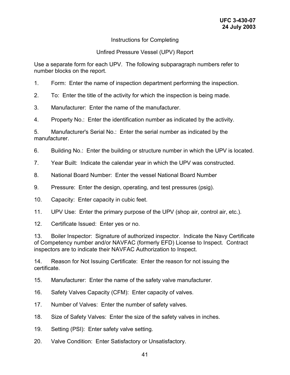### Instructions for Completing

#### Unfired Pressure Vessel (UPV) Report

Use a separate form for each UPV. The following subparagraph numbers refer to number blocks on the report.

- 1. Form: Enter the name of inspection department performing the inspection.
- 2. To: Enter the title of the activity for which the inspection is being made.
- 3. Manufacturer: Enter the name of the manufacturer.
- 4. Property No.: Enter the identification number as indicated by the activity.

5. Manufacturer's Serial No.: Enter the serial number as indicated by the manufacturer.

- 6. Building No.: Enter the building or structure number in which the UPV is located.
- 7. Year Built: Indicate the calendar year in which the UPV was constructed.
- 8. National Board Number: Enter the vessel National Board Number
- 9. Pressure: Enter the design, operating, and test pressures (psig).
- 10. Capacity: Enter capacity in cubic feet.
- 11. UPV Use: Enter the primary purpose of the UPV (shop air, control air, etc.).
- 12. Certificate Issued: Enter yes or no.

13. Boiler Inspector: Signature of authorized inspector. Indicate the Navy Certificate of Competency number and/or NAVFAC (formerly EFD) License to Inspect. Contract inspectors are to indicate their NAVFAC Authorization to Inspect.

14. Reason for Not Issuing Certificate: Enter the reason for not issuing the certificate.

15. Manufacturer: Enter the name of the safety valve manufacturer.

- 16. Safety Valves Capacity (CFM): Enter capacity of valves.
- 17. Number of Valves: Enter the number of safety valves.
- 18. Size of Safety Valves: Enter the size of the safety valves in inches.
- 19. Setting (PSI): Enter safety valve setting.
- 20. Valve Condition: Enter Satisfactory or Unsatisfactory.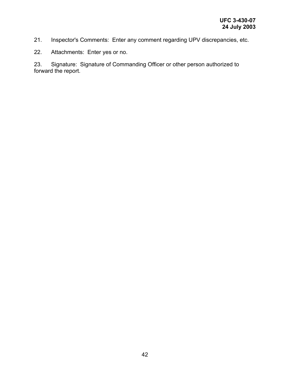- 21. Inspector's Comments: Enter any comment regarding UPV discrepancies, etc.
- 22. Attachments: Enter yes or no.

23. Signature: Signature of Commanding Officer or other person authorized to forward the report.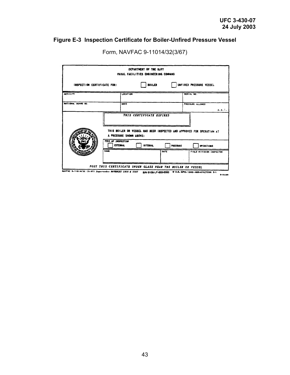# **Figure E-3 Inspection Certificate for Boiler-Unfired Pressure Vessel**

|                                                                                                                 |                                              |                         | DEPARTMENT OF THE BAYY<br><b>FAVAL FACILITIES ENGINEERING COMMAND</b> |      |          |                                                                        |
|-----------------------------------------------------------------------------------------------------------------|----------------------------------------------|-------------------------|-----------------------------------------------------------------------|------|----------|------------------------------------------------------------------------|
| INSPECTION CERTIFICATE FOR:                                                                                     |                                              |                         | <b>BOILER</b>                                                         |      |          | UNFIRED PRESSURE VESSEL                                                |
| <b>ACTIVITY</b>                                                                                                 |                                              | <b>LOCATION</b>         |                                                                       |      |          | SERIAL NO.                                                             |
| NATIONAL BOARD NO.                                                                                              |                                              | <b>MAKE</b>             |                                                                       |      |          | PRESSURE ALLOWED<br>p. s. i.                                           |
|                                                                                                                 |                                              | A PRESSURE SHOWN ABOVE: | THIS CERTIFICATE EXPIRES                                              |      |          | THIS BOILER OR VESSEL HAS BEEN INSPECTED AND APPROVED FOR OPERATION AT |
|                                                                                                                 | <b>TTP! OF INSPECTION</b><br><b>EXTERNAL</b> |                         | <b>INTERIAL</b>                                                       |      | PRESSURE | <b>OPERATIONS</b>                                                      |
|                                                                                                                 | <b>NAME</b>                                  |                         |                                                                       | DATE |          | FIELD DIVISION INSPECTOR                                               |
| MAVFAC 9-11014/32 (3-67) Supersedes MAYDOCKS 1910 & 2107 S/N 0105-LF-003-0000 R U.S. GPO: 1982-005-010/7256 2-1 |                                              |                         | POST THIS CERTIFICATE UNDER GLASS NEAR THE BOILER OR VESSEL           |      |          | $1 - 12200$                                                            |

Form, NAVFAC 9-11014/32(3/67)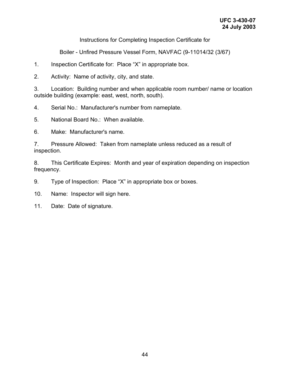Instructions for Completing Inspection Certificate for

Boiler - Unfired Pressure Vessel Form, NAVFAC (9-11014/32 (3/67)

1. Inspection Certificate for: Place "X" in appropriate box.

2. Activity: Name of activity, city, and state.

3. Location: Building number and when applicable room number/ name or location outside building (example: east, west, north, south).

4. Serial No.: Manufacturer's number from nameplate.

5. National Board No.: When available.

6. Make: Manufacturer's name.

7. Pressure Allowed: Taken from nameplate unless reduced as a result of inspection.

8. This Certificate Expires: Month and year of expiration depending on inspection frequency.

9. Type of Inspection: Place "X" in appropriate box or boxes.

10. Name: Inspector will sign here.

11. Date: Date of signature.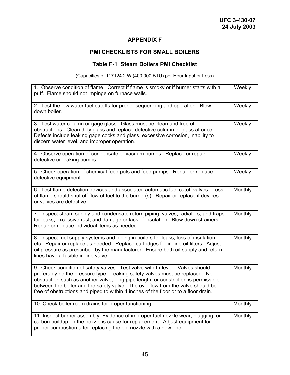### **APPENDIX F**

# **PMI CHECKLISTS FOR SMALL BOILERS**

#### **Table F-1 Steam Boilers PMI Checklist**

(Capacities of 117124.2 W (400,000 BTU) per Hour Input or Less)

| 1. Observe condition of flame. Correct if flame is smoky or if burner starts with a<br>puff. Flame should not impinge on furnace walls.                                                                                                                                                                                                                                                                                      | Weekly  |
|------------------------------------------------------------------------------------------------------------------------------------------------------------------------------------------------------------------------------------------------------------------------------------------------------------------------------------------------------------------------------------------------------------------------------|---------|
| 2. Test the low water fuel cutoffs for proper sequencing and operation. Blow<br>down boiler.                                                                                                                                                                                                                                                                                                                                 | Weekly  |
| 3. Test water column or gage glass. Glass must be clean and free of<br>obstructions. Clean dirty glass and replace defective column or glass at once.<br>Defects include leaking gage cocks and glass, excessive corrosion, inability to<br>discern water level, and improper operation.                                                                                                                                     | Weekly  |
| 4. Observe operation of condensate or vacuum pumps. Replace or repair<br>defective or leaking pumps.                                                                                                                                                                                                                                                                                                                         | Weekly  |
| 5. Check operation of chemical feed pots and feed pumps. Repair or replace<br>defective equipment.                                                                                                                                                                                                                                                                                                                           | Weekly  |
| 6. Test flame detection devices and associated automatic fuel cutoff valves. Loss<br>of flame should shut off flow of fuel to the burner(s). Repair or replace if devices<br>or valves are defective.                                                                                                                                                                                                                        | Monthly |
| 7. Inspect steam supply and condensate return piping, valves, radiators, and traps<br>for leaks, excessive rust, and damage or lack of insulation. Blow down strainers.<br>Repair or replace individual items as needed.                                                                                                                                                                                                     | Monthly |
| 8. Inspect fuel supply systems and piping in boilers for leaks, loss of insulation,<br>etc. Repair or replace as needed. Replace cartridges for in-line oil filters. Adjust<br>oil pressure as prescribed by the manufacturer. Ensure both oil supply and return<br>lines have a fusible in-line valve.                                                                                                                      | Monthly |
| 9. Check condition of safety valves. Test valve with tri-lever. Valves should<br>preferably be the pressure type. Leaking safety valves must be replaced. No<br>obstruction such as another valve, long pipe length, or constriction is permissible<br>between the boiler and the safety valve. The overflow from the valve should be<br>free of obstructions and piped to within 4 inches of the floor or to a floor drain. | Monthly |
| 10. Check boiler room drains for proper functioning.                                                                                                                                                                                                                                                                                                                                                                         | Monthly |
| 11. Inspect burner assembly. Evidence of improper fuel nozzle wear, plugging, or<br>carbon buildup on the nozzle is cause for replacement. Adjust equipment for<br>proper combustion after replacing the old nozzle with a new one.                                                                                                                                                                                          | Monthly |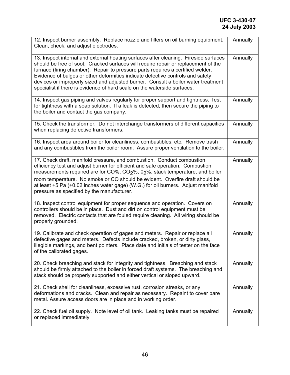| 12. Inspect burner assembly. Replace nozzle and filters on oil burning equipment.<br>Clean, check, and adjust electrodes.                                                                                                                                                                                                                                                                                                                                                                                        | Annually |
|------------------------------------------------------------------------------------------------------------------------------------------------------------------------------------------------------------------------------------------------------------------------------------------------------------------------------------------------------------------------------------------------------------------------------------------------------------------------------------------------------------------|----------|
| 13. Inspect internal and external heating surfaces after cleaning. Fireside surfaces<br>should be free of soot. Cracked surfaces will require repair or replacement of the<br>furnace (firing chamber). Repair to pressure parts requires a certified welder.<br>Evidence of bulges or other deformities indicate defective controls and safety<br>devices or improperly sized and adjusted burner. Consult a boiler water treatment<br>specialist if there is evidence of hard scale on the waterside surfaces. | Annually |
| 14. Inspect gas piping and valves regularly for proper support and tightness. Test<br>for tightness with a soap solution. If a leak is detected, then secure the piping to<br>the boiler and contact the gas company.                                                                                                                                                                                                                                                                                            | Annually |
| 15. Check the transformer. Do not interchange transformers of different capacities<br>when replacing defective transformers.                                                                                                                                                                                                                                                                                                                                                                                     | Annually |
| 16. Inspect area around boiler for cleanliness, combustibles, etc. Remove trash<br>and any combustibles from the boiler room. Assure proper ventilation to the boiler.                                                                                                                                                                                                                                                                                                                                           | Annually |
| 17. Check draft, manifold pressure, and combustion. Conduct combustion<br>efficiency test and adjust burner for efficient and safe operation. Combustion<br>measurements required are for CO%, $CO2$ %, 0 <sub>2</sub> %, stack temperature, and boiler<br>room temperature. No smoke or CO should be evident. Overfire draft should be<br>at least +5 Pa (+0.02 inches water gage) (W.G.) for oil burners. Adjust manifold<br>pressure as specified by the manufacturer.                                        | Annually |
| 18. Inspect control equipment for proper sequence and operation. Covers on<br>controllers should be in place. Dust and dirt on control equipment must be<br>removed. Electric contacts that are fouled require cleaning. All wiring should be<br>properly grounded.                                                                                                                                                                                                                                              | Annually |
| 19. Calibrate and check operation of gages and meters. Repair or replace all<br>defective gages and meters. Defects include cracked, broken, or dirty glass,<br>illegible markings, and bent pointers. Place date and initials of tester on the face<br>of the calibrated gages.                                                                                                                                                                                                                                 | Annually |
| 20. Check breaching and stack for integrity and tightness. Breaching and stack<br>should be firmly attached to the boiler in forced draft systems. The breaching and<br>stack should be properly supported and either vertical or sloped upward.                                                                                                                                                                                                                                                                 | Annually |
| 21. Check shell for cleanliness, excessive rust, corrosion streaks, or any<br>deformations and cracks. Clean and repair as necessary. Repaint to cover bare<br>metal. Assure access doors are in place and in working order.                                                                                                                                                                                                                                                                                     | Annually |
| 22. Check fuel oil supply. Note level of oil tank. Leaking tanks must be repaired<br>or replaced immediately                                                                                                                                                                                                                                                                                                                                                                                                     | Annually |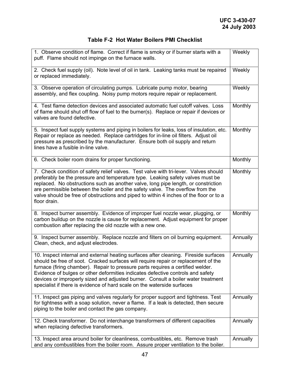# **Table F-2 Hot Water Boilers PMI Checklist**

| 1. Observe condition of flame. Correct if flame is smoky or if burner starts with a<br>puff. Flame should not impinge on the furnace walls.                                                                                                                                                                                                                                                                                                                                                                      | Weekly   |
|------------------------------------------------------------------------------------------------------------------------------------------------------------------------------------------------------------------------------------------------------------------------------------------------------------------------------------------------------------------------------------------------------------------------------------------------------------------------------------------------------------------|----------|
| 2. Check fuel supply (oil). Note level of oil in tank. Leaking tanks must be repaired<br>or replaced immediately.                                                                                                                                                                                                                                                                                                                                                                                                | Weekly   |
| 3. Observe operation of circulating pumps. Lubricate pump motor, bearing<br>assembly, and flex coupling. Noisy pump motors require repair or replacement.                                                                                                                                                                                                                                                                                                                                                        | Weekly   |
| 4. Test flame detection devices and associated automatic fuel cutoff valves. Loss<br>of flame should shut off flow of fuel to the burner(s). Replace or repair if devices or<br>valves are found defective.                                                                                                                                                                                                                                                                                                      | Monthly  |
| 5. Inspect fuel supply systems and piping in boilers for leaks, loss of insulation, etc.<br>Repair or replace as needed. Replace cartridges for in-line oil filters. Adjust oil<br>pressure as prescribed by the manufacturer. Ensure both oil supply and return<br>lines have a fusible in-line valve.                                                                                                                                                                                                          | Monthly  |
| 6. Check boiler room drains for proper functioning.                                                                                                                                                                                                                                                                                                                                                                                                                                                              | Monthly  |
| 7. Check condition of safety relief valves. Test valve with tri-lever. Valves should<br>preferably be the pressure and temperature type. Leaking safety valves must be<br>replaced. No obstructions such as another valve, long pipe length, or constriction<br>are permissible between the boiler and the safety valve. The overflow from the<br>valve should be free of obstructions and piped to within 4 inches of the floor or to a<br>floor drain.                                                         | Monthly  |
| 8. Inspect burner assembly. Evidence of improper fuel nozzle wear, plugging, or<br>carbon buildup on the nozzle is cause for replacement. Adjust equipment for proper<br>combustion after replacing the old nozzle with a new one.                                                                                                                                                                                                                                                                               | Monthly  |
| 9. Inspect burner assembly. Replace nozzle and filters on oil burning equipment.<br>Clean, check, and adjust electrodes.                                                                                                                                                                                                                                                                                                                                                                                         | Annually |
| 10. Inspect internal and external heating surfaces after cleaning. Fireside surfaces<br>should be free of soot. Cracked surfaces will require repair or replacement of the<br>furnace (firing chamber). Repair to pressure parts requires a certified welder.<br>Evidence of bulges or other deformities indicates defective controls and safety<br>devices or improperly sized and adjusted burner. Consult a boiler water treatment<br>specialist if there is evidence of hard scale on the waterside surfaces | Annually |
| 11. Inspect gas piping and valves regularly for proper support and tightness. Test<br>for tightness with a soap solution, never a flame. If a leak is detected, then secure<br>piping to the boiler and contact the gas company.                                                                                                                                                                                                                                                                                 | Annually |
| 12. Check transformer. Do not interchange transformers of different capacities<br>when replacing defective transformers.                                                                                                                                                                                                                                                                                                                                                                                         | Annually |
| 13. Inspect area around boiler for cleanliness, combustibles, etc. Remove trash<br>and any combustibles from the boiler room. Assure proper ventilation to the boiler.                                                                                                                                                                                                                                                                                                                                           | Annually |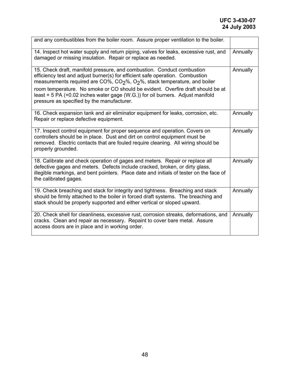| and any combustibles from the boiler room. Assure proper ventilation to the boiler.                                                                                                                                                                                                                                                                                                                                                                                             |          |
|---------------------------------------------------------------------------------------------------------------------------------------------------------------------------------------------------------------------------------------------------------------------------------------------------------------------------------------------------------------------------------------------------------------------------------------------------------------------------------|----------|
| 14. Inspect hot water supply and return piping, valves for leaks, excessive rust, and<br>damaged or missing insulation. Repair or replace as needed.                                                                                                                                                                                                                                                                                                                            | Annually |
| 15. Check draft, manifold pressure, and combustion. Conduct combustion<br>efficiency test and adjust burner(s) for efficient safe operation. Combustion<br>measurements required are CO%, CO <sub>2</sub> %, O <sub>2</sub> %, stack temperature, and boiler<br>room temperature. No smoke or CO should be evident. Overfire draft should be at<br>least + 5 PA (+0.02 inches water gage (W.G.)) for oil burners. Adjust manifold<br>pressure as specified by the manufacturer. | Annually |
| 16. Check expansion tank and air eliminator equipment for leaks, corrosion, etc.<br>Repair or replace defective equipment.                                                                                                                                                                                                                                                                                                                                                      | Annually |
| 17. Inspect control equipment for proper sequence and operation. Covers on<br>controllers should be in place. Dust and dirt on control equipment must be<br>removed. Electric contacts that are fouled require cleaning. All wiring should be<br>properly grounded.                                                                                                                                                                                                             | Annually |
| 18. Calibrate and check operation of gages and meters. Repair or replace all<br>defective gages and meters. Defects include cracked, broken, or dirty glass,<br>illegible markings, and bent pointers. Place date and initials of tester on the face of<br>the calibrated gages.                                                                                                                                                                                                | Annually |
| 19. Check breaching and stack for integrity and tightness. Breaching and stack<br>should be firmly attached to the boiler in forced draft systems. The breaching and<br>stack should be properly supported and either vertical or sloped upward.                                                                                                                                                                                                                                | Annually |
| 20. Check shell for cleanliness, excessive rust, corrosion streaks, deformations, and<br>cracks. Clean and repair as necessary. Repaint to cover bare metal. Assure<br>access doors are in place and in working order.                                                                                                                                                                                                                                                          | Annually |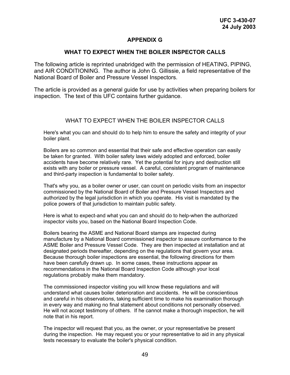#### **APPENDIX G**

#### **WHAT TO EXPECT WHEN THE BOILER INSPECTOR CALLS**

The following article is reprinted unabridged with the permission of HEATING, PIPING, and AIR CONDITIONING. The author is John G. Gillissie, a field representative of the National Board of Boiler and Pressure Vessel Inspectors.

The article is provided as a general guide for use by activities when preparing boilers for inspection. The text of this UFC contains further guidance.

#### WHAT TO EXPECT WHEN THE BOILER INSPECTOR CALLS

Here's what you can and should do to help him to ensure the safety and integrity of your boiler plant.

Boilers are so common and essential that their safe and effective operation can easily be taken for granted. With boiler safety laws widely adopted and enforced, boiler accidents have become relatively rare. Yet the potential for injury and destruction still exists with any boiler or pressure vessel. A careful, consistent program of maintenance and third-party inspection is fundamental to boiler safety.

That's why you, as a boiler owner or user, can count on periodic visits from an inspector commissioned by the National Board of Boiler and Pressure Vessel Inspectors and authorized by the legal jurisdiction in which you operate. His visit is mandated by the police powers of that jurisdiction to maintain public safety.

Here is what to expect-and what you can and should do to help-when the authorized inspector visits you, based on the National Board Inspection Code.

Boilers bearing the ASME and National Board stamps are inspected during manufacture by a National Board commissioned inspector to assure conformance to the ASME Boiler and Pressure Vessel Code. They are then inspected at installation and at designated periods thereafter, depending on the regulations that govern your area. Because thorough boiler inspections are essential, the following directions for them have been carefully drawn up. In some cases, these instructions appear as recommendations in the National Board Inspection Code although your local regulations probably make them mandatory.

The commissioned inspector visiting you will know these regulations and will understand what causes boiler deterioration and accidents. He will be conscientious and careful in his observations, taking sufficient time to make his examination thorough in every way and making no final statement about conditions not personally observed. He will not accept testimony of others. If he cannot make a thorough inspection, he will note that in his report.

The inspector will request that you, as the owner, or your representative be present during the inspection. He may request you or your representative to aid in any physical tests necessary to evaluate the boiler's physical condition.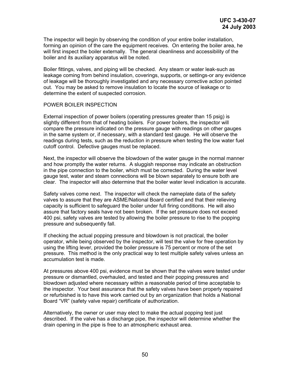The inspector will begin by observing the condition of your entire boiler installation, forming an opinion of the care the equipment receives. On entering the boiler area, he will first inspect the boiler externally. The general cleanliness and accessibility of the boiler and its auxiliary apparatus will be noted.

Boiler fittings, valves, and piping will be checked. Any steam or water leak-such as leakage coming from behind insulation, coverings, supports, or settings-or any evidence of leakage will be thoroughly investigated and any necessary corrective action pointed out. You may be asked to remove insulation to locate the source of leakage or to determine the extent of suspected corrosion.

#### POWER BOILER INSPECTION

External inspection of power boilers (operating pressures greater than 15 psig) is slightly different from that of heating boilers. For power boilers, the inspector will compare the pressure indicated on the pressure gauge with readings on other gauges in the same system or, if necessary, with a standard test gauge. He will observe the readings during tests, such as the reduction in pressure when testing the low water fuel cutoff control. Defective gauges must be replaced.

Next, the inspector will observe the blowdown of the water gauge in the normal manner and how promptly the water returns. A sluggish response may indicate an obstruction in the pipe connection to the boiler, which must be corrected. During the water level gauge test, water and steam connections will be blown separately to ensure both are clear. The inspector will also determine that the boiler water level indication is accurate.

Safety valves come next. The inspector will check the nameplate data of the safety valves to assure that they are ASME/National Board certified and that their relieving capacity is sufficient to safeguard the boiler under full firing conditions. He will also assure that factory seals have not been broken. If the set pressure does not exceed 400 psi, safety valves are tested by allowing the boiler pressure to rise to the popping pressure and subsequently fall.

If checking the actual popping pressure and blowdown is not practical, the boiler operator, while being observed by the inspector, will test the valve for free operation by using the lifting lever, provided the boiler pressure is 75 percent or more of the set pressure. This method is the only practical way to test multiple safety valves unless an accumulation test is made.

At pressures above 400 psi, evidence must be shown that the valves were tested under pressure or dismantled, overhauled, and tested and their popping pressures and blowdown adjusted where necessary within a reasonable period of time acceptable to the inspector. Your best assurance that the safety valves have been properly repaired or refurbished is to have this work carried out by an organization that holds a National Board "VR" (safety valve repair) certificate of authorization.

Alternatively, the owner or user may elect to make the actual popping test just described. If the valve has a discharge pipe, the inspector will determine whether the drain opening in the pipe is free to an atmospheric exhaust area.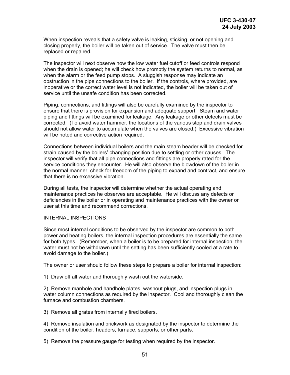When inspection reveals that a safety valve is leaking, sticking, or not opening and closing properly, the boiler will be taken out of service. The valve must then be replaced or repaired.

The inspector will next observe how the low water fuel cutoff or feed controls respond when the drain is opened; he will check how promptly the system returns to normal, as when the alarm or the feed pump stops. A sluggish response may indicate an obstruction in the pipe connections to the boiler. If the controls, where provided, are inoperative or the correct water level is not indicated, the boiler will be taken out of service until the unsafe condition has been corrected.

Piping, connections, and fittings will also be carefully examined by the inspector to ensure that there is provision for expansion and adequate support. Steam and water piping and fittings will be examined for leakage. Any leakage or other defects must be corrected. (To avoid water hammer, the locations of the various stop and drain valves should not allow water to accumulate when the valves are closed.) Excessive vibration will be noted and corrective action required.

Connections between individual boilers and the main steam header will be checked for strain caused by the boilers' changing position due to settling or other causes. The inspector will verify that all pipe connections and fittings are properly rated for the service conditions they encounter. He will also observe the blowdown of the boiler in the normal manner, check for freedom of the piping to expand and contract, and ensure that there is no excessive vibration.

During all tests, the inspector will determine whether the actual operating and maintenance practices he observes are acceptable. He will discuss any defects or deficiencies in the boiler or in operating and maintenance practices with the owner or user at this time and recommend corrections.

#### INTERNAL INSPECTIONS

Since most internal conditions to be observed by the inspector are common to both power and heating boilers, the internal inspection procedures are essentially the same for both types. (Remember, when a boiler is to be prepared for internal inspection, the water must not be withdrawn until the setting has been sufficiently cooled at a rate to avoid damage to the boiler.)

The owner or user should follow these steps to prepare a boiler for internal inspection:

1) Draw off all water and thoroughly wash out the waterside.

2) Remove manhole and handhole plates, washout plugs, and inspection plugs in water column connections as required by the inspector. Cool and thoroughly clean the furnace and combustion chambers.

3) Remove all grates from internally fired boilers.

4) Remove insulation and brickwork as designated by the inspector to determine the condition of the boiler, headers, furnace, supports, or other parts.

5) Remove the pressure gauge for testing when required by the inspector.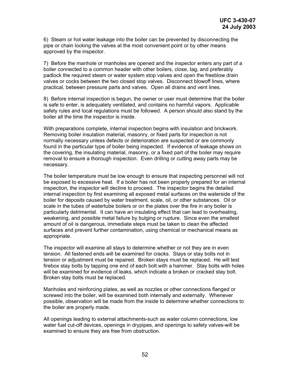6) Steam or hot water leakage into the boiler can be prevented by disconnecting the pipe or chain locking the valves at the most convenient point or by other means approved by the inspector.

7) Before the manhole or manholes are opened and the inspector enters any part of a boiler connected to a common header with other boilers, close, tag, and preferably padlock the required steam or water system stop valves and open the freeblow drain valves or cocks between the two closed stop valves. Disconnect blowoff lines, where practical, between pressure parts and valves. Open all drains and vent lines.

8) Before internal inspection is begun, the owner or user must determine that the boiler is safe to enter, is adequately ventilated, and contains no harmful vapors. Applicable safety rules and local regulations must be followed. A person should also stand by the boiler all the time the inspector is inside.

With preparations complete, internal inspection begins with insulation and brickwork. Removing boiler insulation material, masonry, or fixed parts for inspection is not normally necessary unless defects or deterioration are suspected or are commonly found in the particular type of boiler being inspected. If evidence of leakage shows on the covering, the insulating material, masonry, or a fixed part of the boiler may require removal to ensure a thorough inspection. Even drilling or cutting away parts may be necessary.

The boiler temperature must be low enough to ensure that inspecting personnel will not be exposed to excessive heat. If a boiler has not been properly prepared for an internal inspection, the inspector will decline to proceed. The inspector begins the detailed internal inspection by first examining all exposed metal surfaces on the waterside of the boiler for deposits caused by water treatment, scale, oil, or other substances. Oil or scale in the tubes of watertube boilers or on the plates over the fire in any boiler is particularly detrimental. It can have an insulating effect that can lead to overheating, weakening, and possible metal failure by bulging or rupture. Since even the smallest amount of oil is dangerous, immediate steps must be taken to clean the affected surfaces and prevent further contamination, using chemical or mechanical means as appropriate.

The inspector will examine all stays to determine whether or not they are in even tension. All fastened ends will be examined for cracks. Stays or stay bolts not in tension or adjustment must be repaired. Broken stays must be replaced. He will test firebox stay bolts by tapping one end of each bolt with a hammer. Stay bolts with holes will be examined for evidence of leaks, which indicate a broken or cracked stay bolt. Broken stay bolts must be replaced.

Manholes and reinforcing plates, as well as nozzles or other connections flanged or screwed into the boiler, will be examined both internally and externally. Whenever possible, observation will be made from the inside to determine whether connections to the boiler are properly made.

All openings leading to external attachments-such as water column connections, low water fuel cut-off devices, openings in drypipes, and openings to safety valves-will be examined to ensure they are free from obstruction.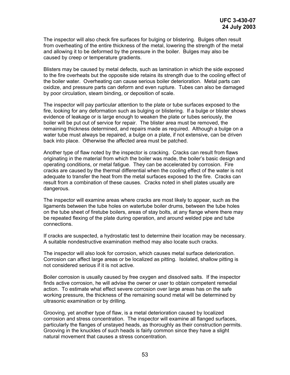The inspector will also check fire surfaces for bulging or blistering. Bulges often result from overheating of the entire thickness of the metal, lowering the strength of the metal and allowing it to be deformed by the pressure in the boiler. Bulges may also be caused by creep or temperature gradients.

Blisters may be caused by metal defects, such as lamination in which the side exposed to the fire overheats but the opposite side retains its strength due to the cooling effect of the boiler water. Overheating can cause serious boiler deterioration. Metal parts can oxidize, and pressure parts can deform and even rupture. Tubes can also be damaged by poor circulation, steam binding, or deposition of scale.

The inspector will pay particular attention to the plate or tube surfaces exposed to the fire, looking for any deformation such as bulging or blistering. If a bulge or blister shows evidence of leakage or is large enough to weaken the plate or tubes seriously, the boiler will be put out of service for repair. The blister area must be removed, the remaining thickness determined, and repairs made as required. Although a bulge on a water tube must always be repaired, a bulge on a plate, if not extensive, can be driven back into place. Otherwise the affected area must be patched.

Another type of flaw noted by the inspector is cracking. Cracks can result from flaws originating in the material from which the boiler was made, the boiler's basic design and operating conditions, or metal fatigue. They can be accelerated by corrosion. Fire cracks are caused by the thermal differential when the cooling effect of the water is not adequate to transfer the heat from the metal surfaces exposed to the fire. Cracks can result from a combination of these causes. Cracks noted in shell plates usually are dangerous.

The inspector will examine areas where cracks are most likely to appear, such as the ligaments between the tube holes on watertube boiler drums, between the tube holes on the tube sheet of firetube boilers, areas of stay bolts, at any flange where there may be repeated flexing of the plate during operation, and around welded pipe and tube connections.

If cracks are suspected, a hydrostatic test to determine their location may be necessary. A suitable nondestructive examination method may also locate such cracks.

The inspector will also look for corrosion, which causes metal surface deterioration. Corrosion can affect large areas or be localized as pitting. Isolated, shallow pitting is not considered serious if it is not active.

Boiler corrosion is usually caused by free oxygen and dissolved salts. If the inspector finds active corrosion, he will advise the owner or user to obtain competent remedial action. To estimate what effect severe corrosion over large areas has on the safe working pressure, the thickness of the remaining sound metal will be determined by ultrasonic examination or by drilling.

Grooving, yet another type of flaw, is a metal deterioration caused by localized corrosion and stress concentration. The inspector will examine all flanged surfaces, particularly the flanges of unstayed heads, as thoroughly as their construction permits. Grooving in the knuckles of such heads is fairly common since they have a slight natural movement that causes a stress concentration.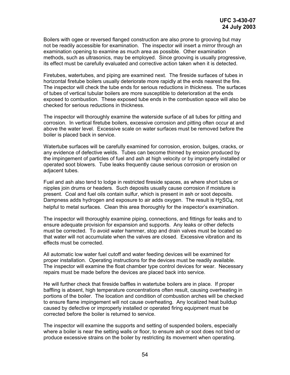Boilers with ogee or reversed flanged construction are also prone to grooving but may not be readily accessible for examination. The inspector will insert a mirror through an examination opening to examine as much area as possible. Other examination methods, such as ultrasonics, may be employed. Since grooving is usually progressive, its effect must be carefully evaluated and corrective action taken when it is detected.

Firetubes, watertubes, and piping are examined next. The fireside surfaces of tubes in horizontal firetube boilers usually deteriorate more rapidly at the ends nearest the fire. The inspector will check the tube ends for serious reductions in thickness. The surfaces of tubes of vertical tubular boilers are more susceptible to deterioration at the ends exposed to combustion. These exposed tube ends in the combustion space will also be checked for serious reductions in thickness.

The inspector will thoroughly examine the waterside surface of all tubes for pitting and corrosion. In vertical firetube boilers, excessive corrosion and pitting often occur at and above the water level. Excessive scale on water surfaces must be removed before the boiler is placed back in service.

Watertube surfaces will be carefully examined for corrosion, erosion, bulges, cracks, or any evidence of defective welds. Tubes can become thinned by erosion produced by the impingement of particles of fuel and ash at high velocity or by improperly installed or operated soot blowers. Tube leaks frequently cause serious corrosion or erosion on adjacent tubes.

Fuel and ash also tend to lodge in restricted fireside spaces, as where short tubes or nipples join drums or headers. Such deposits usually cause corrosion if moisture is present. Coal and fuel oils contain sulfur, which is present in ash or soot deposits. Dampness adds hydrogen and exposure to air adds oxygen. The result is H2SO4, not helpful to metal surfaces. Clean this area thoroughly for the inspector's examination.

The inspector will thoroughly examine piping, connections, and fittings for leaks and to ensure adequate provision for expansion and supports. Any leaks or other defects must be corrected. To avoid water hammer, stop and drain valves must be located so that water will not accumulate when the valves are closed. Excessive vibration and its effects must be corrected.

All automatic low water fuel cutoff and water feeding devices will be examined for proper installation. Operating instructions for the devices must be readily available. The inspector will examine the float chamber type control devices for wear. Necessary repairs must be made before the devices are placed back into service.

He will further check that fireside baffles in watertube boilers are in place. If proper baffling is absent, high temperature concentrations often result, causing overheating in portions of the boiler. The location and condition of combustion arches will be checked to ensure flame impingement will not cause overheating. Any localized heat buildup caused by defective or improperly installed or operated firing equipment must be corrected before the boiler is returned to service.

The inspector will examine the supports and setting of suspended boilers, especially where a boiler is near the setting walls or floor, to ensure ash or soot does not bind or produce excessive strains on the boiler by restricting its movement when operating.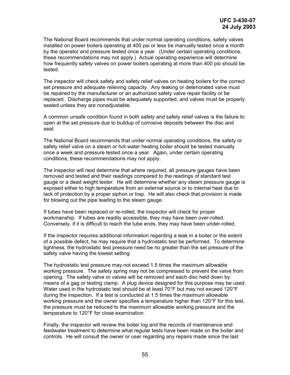The National Board recommends that under normal operating conditions, safety valves installed on power boilers operating at 400 psi or less be manually tested once a month by the operator and pressure tested once a year. (Under certain operating conditions, these recommendations may not apply.) Actual operating experience will determine how frequently safety valves on power boilers operating at more than 400 psi should be tested.

The inspector will check safety and safety relief valves on heating boilers for the correct set pressure and adequate relieving capacity. Any leaking or deteriorated valve must be repaired by the manufacturer or an authorized safety valve repair facility or be replaced. Discharge pipes must be adequately supported, and valves must be properly sealed unless they are nonadjustable.

A common unsafe condition found in both safety and safety relief valves is the failure to open at the set pressure due to buildup of corrosive deposits between the disc and seat.

The National Board recommends that under normal operating conditions, the safety or safety relief valve on a steam or hot water heating boiler should be tested manually once a week and pressure tested once a year. Again, under certain operating conditions, these recommendations may not apply.

The inspector will next determine that where required, all pressure gauges have been removed and tested and their readings compared to the readings of standard test gauge or a dead weight tester. He will determine whether any steam pressure gauge is exposed either to high temperature from an external source or to internal heat due to lack of protection by a proper siphon or trap. He will also check that provision is made for blowing out the pipe leading to the steam gauge.

If tubes have been replaced or re-rolled, the inspector will check for proper workmanship. If tubes are readily accessible, they may have been over-rolled. Conversely, if it is difficult to reach the tube ends, they may have been under-rolled.

If the inspector requires additional information regarding a leak in a boiler or the extent of a possible defect, he may require that a hydrostatic test be performed. To determine tightness, the hydrostatic test pressure need be no greater than the set pressure of the safety valve having the lowest setting.

The hydrostatic test pressure may not exceed 1.5 times the maximum allowable working pressure. The safety spring may not be compressed to prevent the valve from opening. The safety valve or valves will be removed and each disc held down by means of a gag or testing clamp. A plug device designed for this purpose may be used. Water used in the hydrostatic test should be at least 70°F but may not exceed 120°F during the inspection. If a test is conducted at 1.5 times the maximum allowable working pressure and the owner specifies a temperature higher than 120°F for this test, the pressure must be reduced to the maximum allowable working pressure and the temperature to 120°F for close examination.

Finally, the inspector will review the boiler log and the records of maintenance and feedwater treatment to determine what regular tests have been made on the boiler and controls. He will consult the owner or user regarding any repairs made since the last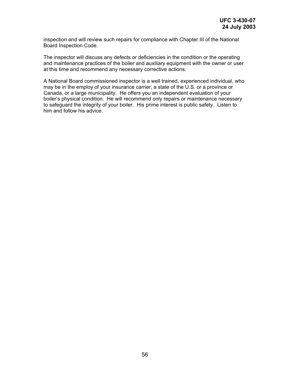inspection and will review such repairs for compliance with Chapter III of the National Board Inspection Code.

The inspector will discuss any defects or deficiencies in the condition or the operating and maintenance practices of the boiler and auxiliary equipment with the owner or user at this time and recommend any necessary corrective actions.

A National Board commissioned inspector is a well trained, experienced individual, who may be in the employ of your insurance carrier, a state of the U.S. or a province or Canada, or a large municipality. He offers you an independent evaluation of your boiler's physical condition. He will recommend only repairs or maintenance necessary to safeguard the integrity of your boiler. His prime interest is public safety. Listen to him and follow his advice.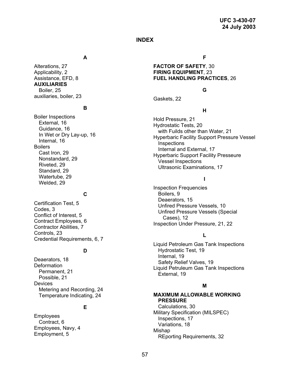#### **INDEX**

#### **A F**

**AUXILIARIES** Boiler, 25 **G** auxiliaries, boiler, 23 Gaskets, 22

# **<sup>B</sup> <sup>H</sup>**

Vessel Inspections Nonstandard, 29 Riveted, 29 Ultrasonic Examinations, 17 Standard, 29 Watertube, 29 **<sup>I</sup>** Welded, 29

Conflict of Interest, 5<br>
Contract Employees, 6<br>
Contract Employees, 6 Contract Employees, 6 Inspection Under Pressure, 21, 22 Contractor Abilities, 7 Controls, 23 **<sup>L</sup>** Credential Requirements, 6, 7

Devices **<sup>M</sup>** Metering and Recording, 24 Temperature Indicating, 24

Employees<br>
Contract. 6<br>
Contract. 6<br>
Contract. 6

Alterations, 27 **FACTOR OF SAFETY**, 30 Applicability, 2 **FIRING EQUIPMENT**, 23 Assistance, EFD, 8 **FUEL HANDLING PRACTICES**, 26

Boiler Inspections<br>
External, 16 Hold Pressure, 21<br>
Guidance, 16 Hydrostatic Tests, 20<br>
In Wet or Dry Lay-up, 16 Hyperbaric Facility Support Pressure Vessel<br>
Integral 46 Inspection Big Eagle of Big Hyperbaric Facility Support Pressure Vessel<br>Internal, 16 **Internal, 16** Inspections<br>Boilers Suers<br>Cast Iron, 29 **Cast Iron, 29 Telecomber 20** Hyperbaric Support Facility Presseure<br>Monstandard, 29 Monstandard, 29

Inspection Frequencies **C** Boilers, 9<br> **C** Deaerators, 15 Oertification Test, 5<br>
Codes, 3<br>
Unfired Pressure Vessels, 10<br>
Unfired Pressure Vessels (Special

Liquid Petroleum Gas Tank Inspections **D** Hydrostatic Test, 19<br>Internal, 19 Peaerators, 18 Deaerators, 18 Deformation<br>
Deformation Liquid Petruleum Gas Tank Inspections<br>
Permanent, 21 External, 19 Possible, 21 Possible, 21

#### **MAXIMUM ALLOWABLE WORKING PRESSURE**

**E** Calculations, 30 Military Specification (MILSPEC) Contract, 6 Contract, 6 Contract, 6 Contract, 6 Contract, 6 Contract, 6 Contract, 6 Contract, 6 Contract, 7 Contract<br>Employment, 5 Contract 20 Contract 20 Contract 20 Contract 20 Contract 20 Contract 20 Contract 20 Contrac